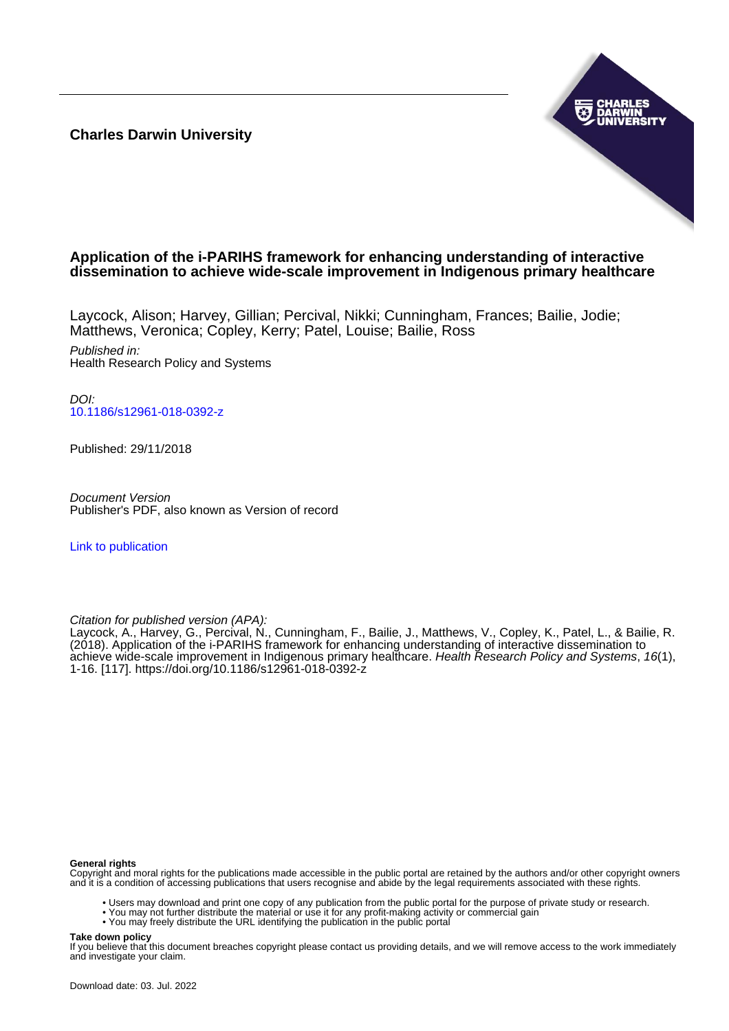**Charles Darwin University**



# **Application of the i-PARIHS framework for enhancing understanding of interactive dissemination to achieve wide-scale improvement in Indigenous primary healthcare**

Laycock, Alison; Harvey, Gillian; Percival, Nikki; Cunningham, Frances; Bailie, Jodie; Matthews, Veronica; Copley, Kerry; Patel, Louise; Bailie, Ross

Published in: Health Research Policy and Systems

DOI: [10.1186/s12961-018-0392-z](https://doi.org/10.1186/s12961-018-0392-z)

Published: 29/11/2018

Document Version Publisher's PDF, also known as Version of record

[Link to publication](https://researchers.cdu.edu.au/en/publications/acafec7c-cf3f-455b-9848-cc6c1e0bbd41)

Citation for published version (APA):

Laycock, A., Harvey, G., Percival, N., Cunningham, F., Bailie, J., Matthews, V., Copley, K., Patel, L., & Bailie, R. (2018). Application of the i-PARIHS framework for enhancing understanding of interactive dissemination to achieve wide-scale improvement in Indigenous primary healthcare. *Health Research Policy and Systems, 16*(1), 1-16. [117].<https://doi.org/10.1186/s12961-018-0392-z>

#### **General rights**

Copyright and moral rights for the publications made accessible in the public portal are retained by the authors and/or other copyright owners and it is a condition of accessing publications that users recognise and abide by the legal requirements associated with these rights.

- Users may download and print one copy of any publication from the public portal for the purpose of private study or research.
- You may not further distribute the material or use it for any profit-making activity or commercial gain
- You may freely distribute the URL identifying the publication in the public portal

## **Take down policy**

If you believe that this document breaches copyright please contact us providing details, and we will remove access to the work immediately and investigate your claim.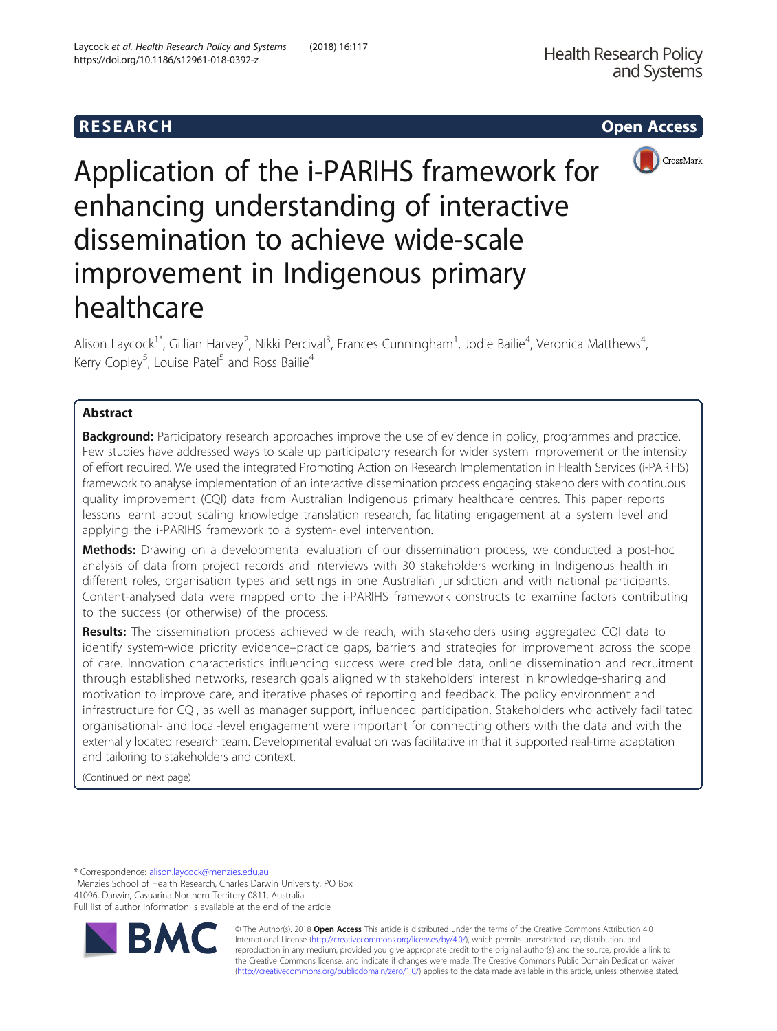

Application of the i-PARIHS framework for enhancing understanding of interactive dissemination to achieve wide-scale improvement in Indigenous primary healthcare

Alison Laycock<sup>1\*</sup>, Gillian Harvey<sup>2</sup>, Nikki Percival<sup>3</sup>, Frances Cunningham<sup>1</sup>, Jodie Bailie<sup>4</sup>, Veronica Matthews<sup>4</sup> , Kerry Copley<sup>5</sup>, Louise Patel<sup>5</sup> and Ross Bailie<sup>4</sup>

# Abstract

**Background:** Participatory research approaches improve the use of evidence in policy, programmes and practice. Few studies have addressed ways to scale up participatory research for wider system improvement or the intensity of effort required. We used the integrated Promoting Action on Research Implementation in Health Services (i-PARIHS) framework to analyse implementation of an interactive dissemination process engaging stakeholders with continuous quality improvement (CQI) data from Australian Indigenous primary healthcare centres. This paper reports lessons learnt about scaling knowledge translation research, facilitating engagement at a system level and applying the i-PARIHS framework to a system-level intervention.

Methods: Drawing on a developmental evaluation of our dissemination process, we conducted a post-hoc analysis of data from project records and interviews with 30 stakeholders working in Indigenous health in different roles, organisation types and settings in one Australian jurisdiction and with national participants. Content-analysed data were mapped onto the i-PARIHS framework constructs to examine factors contributing to the success (or otherwise) of the process.

Results: The dissemination process achieved wide reach, with stakeholders using aggregated CQI data to identify system-wide priority evidence–practice gaps, barriers and strategies for improvement across the scope of care. Innovation characteristics influencing success were credible data, online dissemination and recruitment through established networks, research goals aligned with stakeholders' interest in knowledge-sharing and motivation to improve care, and iterative phases of reporting and feedback. The policy environment and infrastructure for CQI, as well as manager support, influenced participation. Stakeholders who actively facilitated organisational- and local-level engagement were important for connecting others with the data and with the externally located research team. Developmental evaluation was facilitative in that it supported real-time adaptation and tailoring to stakeholders and context.

(Continued on next page)

\* Correspondence: [alison.laycock@menzies.edu.au](mailto:alison.laycock@menzies.edu.au) <sup>1</sup>

<sup>1</sup>Menzies School of Health Research, Charles Darwin University, PO Box 41096, Darwin, Casuarina Northern Territory 0811, Australia Full list of author information is available at the end of the article



© The Author(s). 2018 **Open Access** This article is distributed under the terms of the Creative Commons Attribution 4.0 International License [\(http://creativecommons.org/licenses/by/4.0/](http://creativecommons.org/licenses/by/4.0/)), which permits unrestricted use, distribution, and reproduction in any medium, provided you give appropriate credit to the original author(s) and the source, provide a link to the Creative Commons license, and indicate if changes were made. The Creative Commons Public Domain Dedication waiver [\(http://creativecommons.org/publicdomain/zero/1.0/](http://creativecommons.org/publicdomain/zero/1.0/)) applies to the data made available in this article, unless otherwise stated.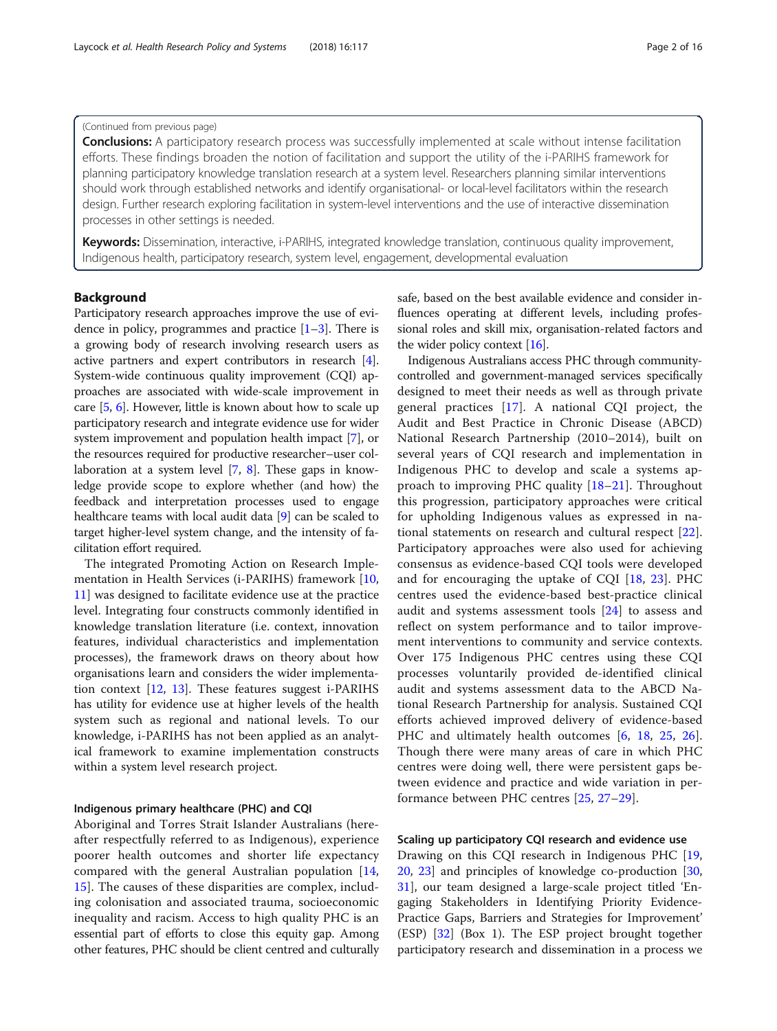#### (Continued from previous page)

**Conclusions:** A participatory research process was successfully implemented at scale without intense facilitation efforts. These findings broaden the notion of facilitation and support the utility of the i-PARIHS framework for planning participatory knowledge translation research at a system level. Researchers planning similar interventions should work through established networks and identify organisational- or local-level facilitators within the research design. Further research exploring facilitation in system-level interventions and the use of interactive dissemination processes in other settings is needed.

Keywords: Dissemination, interactive, i-PARIHS, integrated knowledge translation, continuous quality improvement, Indigenous health, participatory research, system level, engagement, developmental evaluation

## Background

Participatory research approaches improve the use of evidence in policy, programmes and practice  $[1-3]$  $[1-3]$  $[1-3]$ . There is a growing body of research involving research users as active partners and expert contributors in research [[4](#page-14-0)]. System-wide continuous quality improvement (CQI) approaches are associated with wide-scale improvement in care [\[5,](#page-14-0) [6\]](#page-14-0). However, little is known about how to scale up participatory research and integrate evidence use for wider system improvement and population health impact [[7\]](#page-14-0), or the resources required for productive researcher–user collaboration at a system level [\[7,](#page-14-0) [8\]](#page-14-0). These gaps in knowledge provide scope to explore whether (and how) the feedback and interpretation processes used to engage healthcare teams with local audit data [\[9](#page-14-0)] can be scaled to target higher-level system change, and the intensity of facilitation effort required.

The integrated Promoting Action on Research Implementation in Health Services (i-PARIHS) framework [[10](#page-14-0), [11\]](#page-14-0) was designed to facilitate evidence use at the practice level. Integrating four constructs commonly identified in knowledge translation literature (i.e. context, innovation features, individual characteristics and implementation processes), the framework draws on theory about how organisations learn and considers the wider implementation context [\[12](#page-14-0), [13\]](#page-14-0). These features suggest i-PARIHS has utility for evidence use at higher levels of the health system such as regional and national levels. To our knowledge, i-PARIHS has not been applied as an analytical framework to examine implementation constructs within a system level research project.

## Indigenous primary healthcare (PHC) and CQI

Aboriginal and Torres Strait Islander Australians (hereafter respectfully referred to as Indigenous), experience poorer health outcomes and shorter life expectancy compared with the general Australian population [\[14](#page-14-0), [15\]](#page-14-0). The causes of these disparities are complex, including colonisation and associated trauma, socioeconomic inequality and racism. Access to high quality PHC is an essential part of efforts to close this equity gap. Among other features, PHC should be client centred and culturally

safe, based on the best available evidence and consider influences operating at different levels, including professional roles and skill mix, organisation-related factors and the wider policy context [\[16\]](#page-14-0).

Indigenous Australians access PHC through communitycontrolled and government-managed services specifically designed to meet their needs as well as through private general practices [[17\]](#page-14-0). A national CQI project, the Audit and Best Practice in Chronic Disease (ABCD) National Research Partnership (2010–2014), built on several years of CQI research and implementation in Indigenous PHC to develop and scale a systems approach to improving PHC quality [\[18](#page-15-0)–[21](#page-15-0)]. Throughout this progression, participatory approaches were critical for upholding Indigenous values as expressed in national statements on research and cultural respect [\[22](#page-15-0)]. Participatory approaches were also used for achieving consensus as evidence-based CQI tools were developed and for encouraging the uptake of CQI [[18,](#page-15-0) [23\]](#page-15-0). PHC centres used the evidence-based best-practice clinical audit and systems assessment tools [\[24](#page-15-0)] to assess and reflect on system performance and to tailor improvement interventions to community and service contexts. Over 175 Indigenous PHC centres using these CQI processes voluntarily provided de-identified clinical audit and systems assessment data to the ABCD National Research Partnership for analysis. Sustained CQI efforts achieved improved delivery of evidence-based PHC and ultimately health outcomes [\[6](#page-14-0), [18,](#page-15-0) [25,](#page-15-0) [26](#page-15-0)]. Though there were many areas of care in which PHC centres were doing well, there were persistent gaps between evidence and practice and wide variation in performance between PHC centres [\[25](#page-15-0), [27](#page-15-0)–[29](#page-15-0)].

#### Scaling up participatory CQI research and evidence use

Drawing on this CQI research in Indigenous PHC [[19](#page-15-0), [20,](#page-15-0) [23\]](#page-15-0) and principles of knowledge co-production [[30](#page-15-0), [31\]](#page-15-0), our team designed a large-scale project titled 'Engaging Stakeholders in Identifying Priority Evidence-Practice Gaps, Barriers and Strategies for Improvement' (ESP) [\[32](#page-15-0)] (Box 1). The ESP project brought together participatory research and dissemination in a process we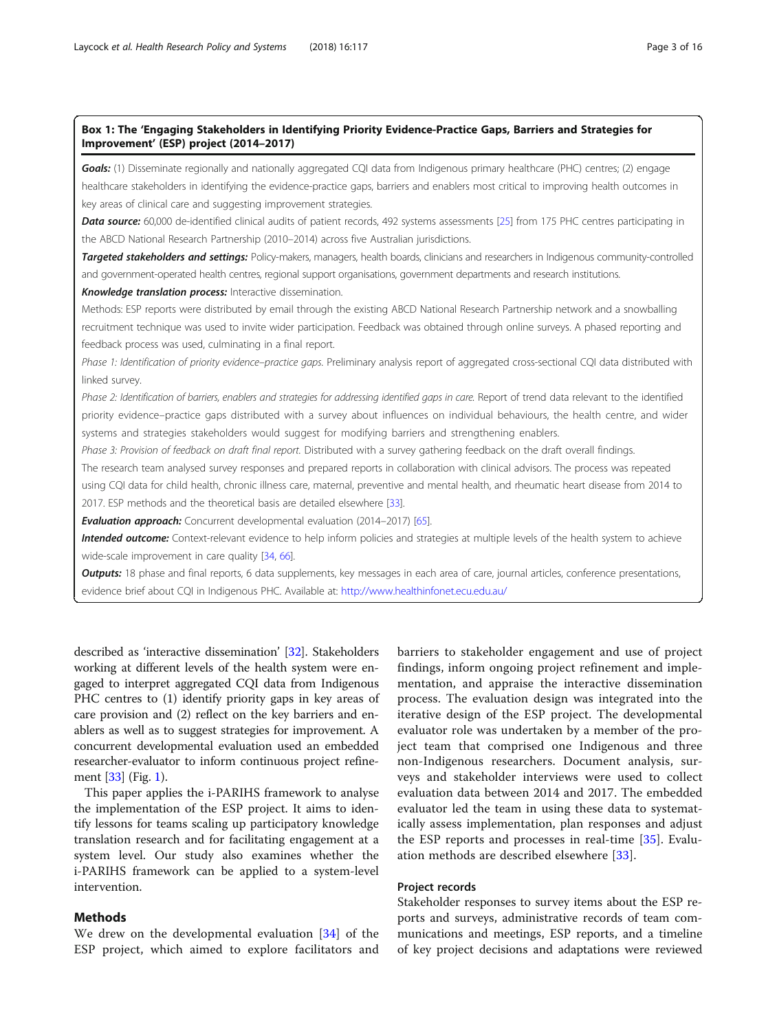## Box 1: The 'Engaging Stakeholders in Identifying Priority Evidence-Practice Gaps, Barriers and Strategies for Improvement' (ESP) project (2014–2017)

Goals: (1) Disseminate regionally and nationally aggregated CQI data from Indigenous primary healthcare (PHC) centres; (2) engage healthcare stakeholders in identifying the evidence-practice gaps, barriers and enablers most critical to improving health outcomes in key areas of clinical care and suggesting improvement strategies.

Data source: 60,000 de-identified clinical audits of patient records, 492 systems assessments [\[25](#page-15-0)] from 175 PHC centres participating in the ABCD National Research Partnership (2010–2014) across five Australian jurisdictions.

Targeted stakeholders and settings: Policy-makers, managers, health boards, clinicians and researchers in Indigenous community-controlled and government-operated health centres, regional support organisations, government departments and research institutions.

Knowledge translation process: Interactive dissemination.

Methods: ESP reports were distributed by email through the existing ABCD National Research Partnership network and a snowballing recruitment technique was used to invite wider participation. Feedback was obtained through online surveys. A phased reporting and feedback process was used, culminating in a final report.

Phase 1: Identification of priority evidence-practice gaps. Preliminary analysis report of aggregated cross-sectional CQI data distributed with linked survey.

Phase 2: Identification of barriers, enablers and strategies for addressing identified gaps in care. Report of trend data relevant to the identified priority evidence–practice gaps distributed with a survey about influences on individual behaviours, the health centre, and wider systems and strategies stakeholders would suggest for modifying barriers and strengthening enablers.

Phase 3: Provision of feedback on draft final report. Distributed with a survey gathering feedback on the draft overall findings.

The research team analysed survey responses and prepared reports in collaboration with clinical advisors. The process was repeated

using CQI data for child health, chronic illness care, maternal, preventive and mental health, and rheumatic heart disease from 2014 to 2017. ESP methods and the theoretical basis are detailed elsewhere [[33\]](#page-15-0).

**Evaluation approach:** Concurrent developmental evaluation (2014–2017) [\[65\]](#page-16-0).

Intended outcome: Context-relevant evidence to help inform policies and strategies at multiple levels of the health system to achieve wide-scale improvement in care quality [\[34,](#page-15-0) [66\]](#page-16-0).

Outputs: 18 phase and final reports, 6 data supplements, key messages in each area of care, journal articles, conference presentations, evidence brief about CQI in Indigenous PHC. Available at: <http://www.healthinfonet.ecu.edu.au/>

described as 'interactive dissemination' [\[32\]](#page-15-0). Stakeholders working at different levels of the health system were engaged to interpret aggregated CQI data from Indigenous PHC centres to (1) identify priority gaps in key areas of care provision and (2) reflect on the key barriers and enablers as well as to suggest strategies for improvement. A concurrent developmental evaluation used an embedded researcher-evaluator to inform continuous project refinement [\[33\]](#page-15-0) (Fig. [1](#page-4-0)).

This paper applies the i-PARIHS framework to analyse the implementation of the ESP project. It aims to identify lessons for teams scaling up participatory knowledge translation research and for facilitating engagement at a system level. Our study also examines whether the i-PARIHS framework can be applied to a system-level intervention.

## Methods

We drew on the developmental evaluation [[34\]](#page-15-0) of the ESP project, which aimed to explore facilitators and

barriers to stakeholder engagement and use of project findings, inform ongoing project refinement and implementation, and appraise the interactive dissemination process. The evaluation design was integrated into the iterative design of the ESP project. The developmental evaluator role was undertaken by a member of the project team that comprised one Indigenous and three non-Indigenous researchers. Document analysis, surveys and stakeholder interviews were used to collect evaluation data between 2014 and 2017. The embedded evaluator led the team in using these data to systematically assess implementation, plan responses and adjust the ESP reports and processes in real-time [\[35](#page-15-0)]. Evaluation methods are described elsewhere [\[33\]](#page-15-0).

## Project records

Stakeholder responses to survey items about the ESP reports and surveys, administrative records of team communications and meetings, ESP reports, and a timeline of key project decisions and adaptations were reviewed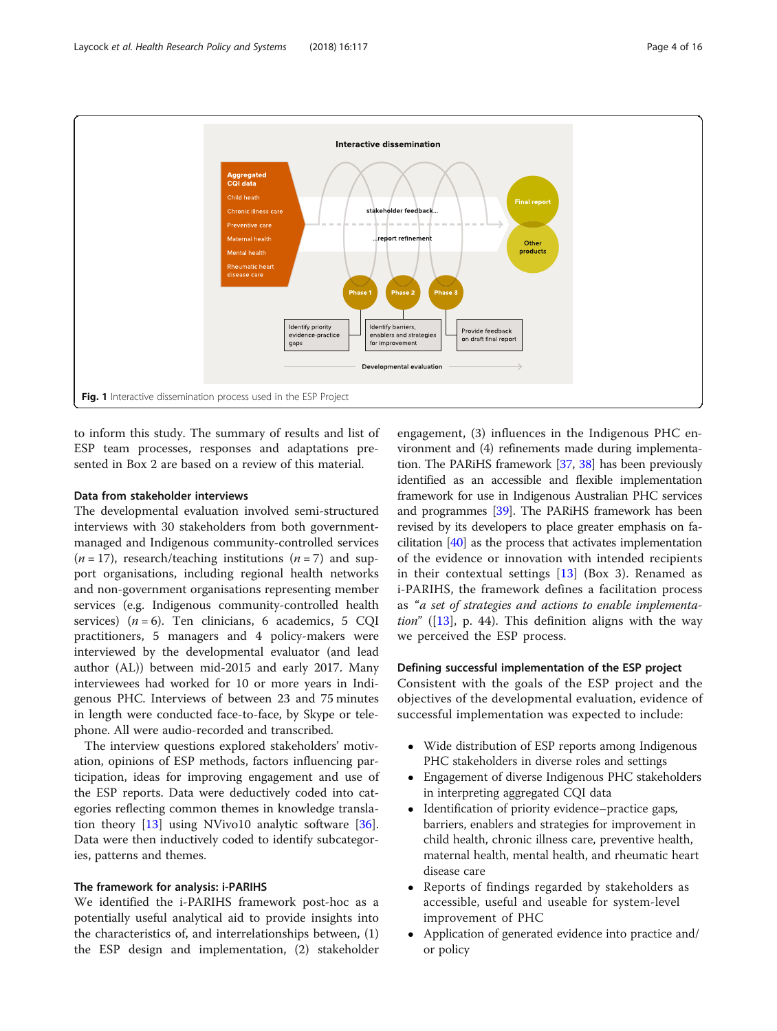<span id="page-4-0"></span>

to inform this study. The summary of results and list of ESP team processes, responses and adaptations presented in Box 2 are based on a review of this material.

## Data from stakeholder interviews

The developmental evaluation involved semi-structured interviews with 30 stakeholders from both governmentmanaged and Indigenous community-controlled services  $(n = 17)$ , research/teaching institutions  $(n = 7)$  and support organisations, including regional health networks and non-government organisations representing member services (e.g. Indigenous community-controlled health services)  $(n = 6)$ . Ten clinicians, 6 academics, 5 CQI practitioners, 5 managers and 4 policy-makers were interviewed by the developmental evaluator (and lead author (AL)) between mid-2015 and early 2017. Many interviewees had worked for 10 or more years in Indigenous PHC. Interviews of between 23 and 75 minutes in length were conducted face-to-face, by Skype or telephone. All were audio-recorded and transcribed.

The interview questions explored stakeholders' motivation, opinions of ESP methods, factors influencing participation, ideas for improving engagement and use of the ESP reports. Data were deductively coded into categories reflecting common themes in knowledge translation theory [[13\]](#page-14-0) using NVivo10 analytic software [\[36](#page-15-0)]. Data were then inductively coded to identify subcategories, patterns and themes.

## The framework for analysis: i-PARIHS

We identified the i-PARIHS framework post-hoc as a potentially useful analytical aid to provide insights into the characteristics of, and interrelationships between, (1) the ESP design and implementation, (2) stakeholder

engagement, (3) influences in the Indigenous PHC environment and (4) refinements made during implementation. The PARiHS framework [\[37,](#page-15-0) [38\]](#page-15-0) has been previously identified as an accessible and flexible implementation framework for use in Indigenous Australian PHC services and programmes [[39](#page-15-0)]. The PARiHS framework has been revised by its developers to place greater emphasis on facilitation [\[40\]](#page-15-0) as the process that activates implementation of the evidence or innovation with intended recipients in their contextual settings [[13\]](#page-14-0) (Box 3). Renamed as i-PARIHS, the framework defines a facilitation process as "a set of strategies and actions to enable implementation" ( $[13]$  $[13]$ , p. 44). This definition aligns with the way we perceived the ESP process.

## Defining successful implementation of the ESP project

Consistent with the goals of the ESP project and the objectives of the developmental evaluation, evidence of successful implementation was expected to include:

- Wide distribution of ESP reports among Indigenous PHC stakeholders in diverse roles and settings
- Engagement of diverse Indigenous PHC stakeholders in interpreting aggregated CQI data
- Identification of priority evidence–practice gaps, barriers, enablers and strategies for improvement in child health, chronic illness care, preventive health, maternal health, mental health, and rheumatic heart disease care
- Reports of findings regarded by stakeholders as accessible, useful and useable for system-level improvement of PHC
- Application of generated evidence into practice and/ or policy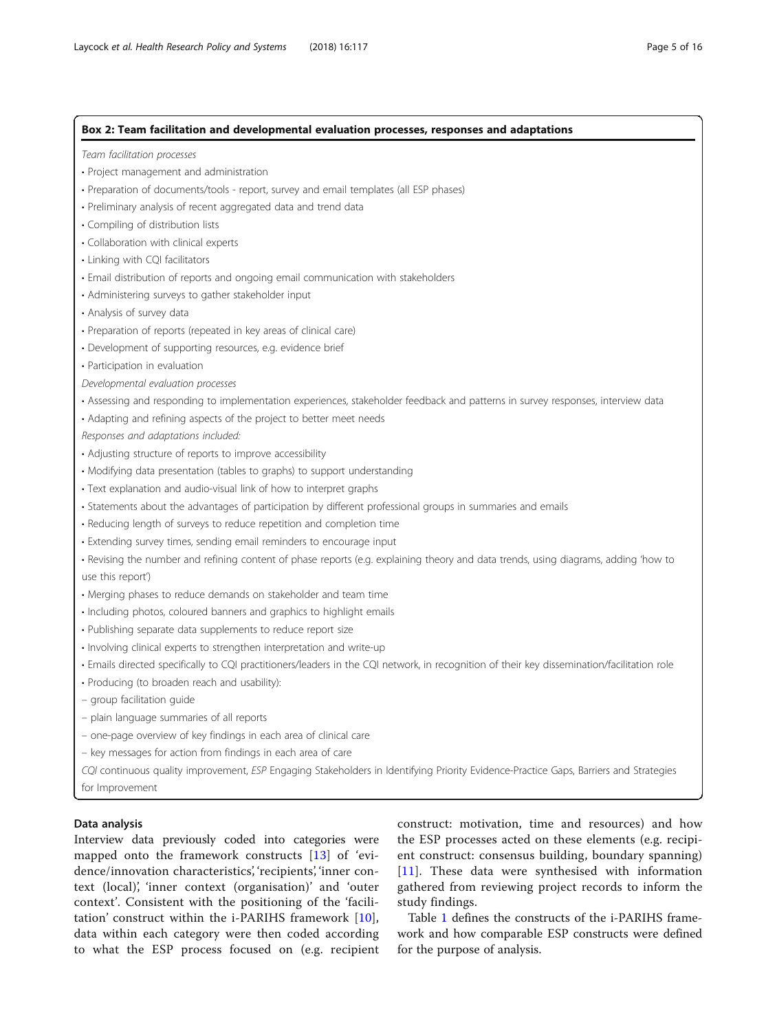#### Box 2: Team facilitation and developmental evaluation processes, responses and adaptations

#### Team facilitation processes

- Project management and administration
- Preparation of documents/tools report, survey and email templates (all ESP phases)
- Preliminary analysis of recent aggregated data and trend data
- Compiling of distribution lists
- Collaboration with clinical experts
- Linking with CQI facilitators
- Email distribution of reports and ongoing email communication with stakeholders
- Administering surveys to gather stakeholder input
- Analysis of survey data
- Preparation of reports (repeated in key areas of clinical care)
- Development of supporting resources, e.g. evidence brief
- Participation in evaluation
- Developmental evaluation processes
- Assessing and responding to implementation experiences, stakeholder feedback and patterns in survey responses, interview data
- Adapting and refining aspects of the project to better meet needs

Responses and adaptations included:

- Adjusting structure of reports to improve accessibility
- Modifying data presentation (tables to graphs) to support understanding
- Text explanation and audio-visual link of how to interpret graphs
- Statements about the advantages of participation by different professional groups in summaries and emails
- Reducing length of surveys to reduce repetition and completion time
- Extending survey times, sending email reminders to encourage input
- Revising the number and refining content of phase reports (e.g. explaining theory and data trends, using diagrams, adding 'how to use this report')
- Merging phases to reduce demands on stakeholder and team time
- Including photos, coloured banners and graphics to highlight emails
- Publishing separate data supplements to reduce report size
- Involving clinical experts to strengthen interpretation and write-up
- Emails directed specifically to CQI practitioners/leaders in the CQI network, in recognition of their key dissemination/facilitation role
- Producing (to broaden reach and usability):
- group facilitation guide
- plain language summaries of all reports
- one-page overview of key findings in each area of clinical care
- key messages for action from findings in each area of care
- CQI continuous quality improvement, ESP Engaging Stakeholders in Identifying Priority Evidence-Practice Gaps, Barriers and Strategies for Improvement

## Data analysis

Interview data previously coded into categories were mapped onto the framework constructs [\[13](#page-14-0)] of 'evidence/innovation characteristics', 'recipients', 'inner context (local)', 'inner context (organisation)' and 'outer context'. Consistent with the positioning of the 'facilitation' construct within the i-PARIHS framework [[10](#page-14-0)], data within each category were then coded according to what the ESP process focused on (e.g. recipient

construct: motivation, time and resources) and how the ESP processes acted on these elements (e.g. recipient construct: consensus building, boundary spanning) [[11](#page-14-0)]. These data were synthesised with information gathered from reviewing project records to inform the study findings.

Table [1](#page-7-0) defines the constructs of the i-PARIHS framework and how comparable ESP constructs were defined for the purpose of analysis.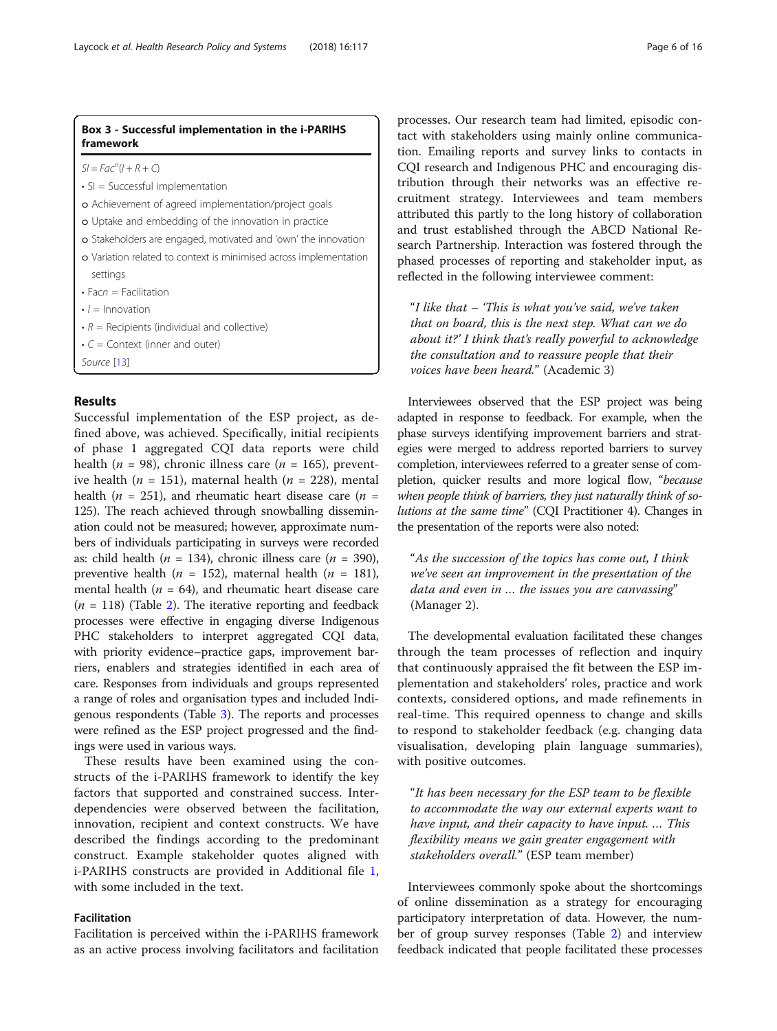## Box 3 - Successful implementation in the i-PARIHS framework

 $SI = Fac^{n}(I + R + C)$ 

- SI = Successful implementation
- o Achievement of agreed implementation/project goals
- o Uptake and embedding of the innovation in practice
- o Stakeholders are engaged, motivated and 'own' the innovation
- o Variation related to context is minimised across implementation settings
- $\cdot$  Facn = Facilitation
- $\cdot$  / = Innovation
- $\cdot$  R = Recipients (individual and collective)
- $\cdot$  C = Context (inner and outer)
- Source [\[13](#page-14-0)]

#### Results

Successful implementation of the ESP project, as defined above, was achieved. Specifically, initial recipients of phase 1 aggregated CQI data reports were child health (*n* = 98), chronic illness care (*n* = 165), preventive health ( $n = 151$ ), maternal health ( $n = 228$ ), mental health ( $n = 251$ ), and rheumatic heart disease care ( $n =$ 125). The reach achieved through snowballing dissemination could not be measured; however, approximate numbers of individuals participating in surveys were recorded as: child health ( $n = 134$ ), chronic illness care ( $n = 390$ ), preventive health (*n* = 152), maternal health (*n* = 181), mental health ( $n = 64$ ), and rheumatic heart disease care  $(n = 118)$  (Table [2](#page-8-0)). The iterative reporting and feedback processes were effective in engaging diverse Indigenous PHC stakeholders to interpret aggregated CQI data, with priority evidence–practice gaps, improvement barriers, enablers and strategies identified in each area of care. Responses from individuals and groups represented a range of roles and organisation types and included Indigenous respondents (Table [3](#page-8-0)). The reports and processes were refined as the ESP project progressed and the findings were used in various ways.

These results have been examined using the constructs of the i-PARIHS framework to identify the key factors that supported and constrained success. Interdependencies were observed between the facilitation, innovation, recipient and context constructs. We have described the findings according to the predominant construct. Example stakeholder quotes aligned with i-PARIHS constructs are provided in Additional file [1](#page-14-0), with some included in the text.

## Facilitation

Facilitation is perceived within the i-PARIHS framework as an active process involving facilitators and facilitation processes. Our research team had limited, episodic contact with stakeholders using mainly online communication. Emailing reports and survey links to contacts in CQI research and Indigenous PHC and encouraging distribution through their networks was an effective recruitment strategy. Interviewees and team members attributed this partly to the long history of collaboration and trust established through the ABCD National Research Partnership. Interaction was fostered through the phased processes of reporting and stakeholder input, as reflected in the following interviewee comment:

"I like that – 'This is what you've said, we've taken that on board, this is the next step. What can we do about it?' I think that's really powerful to acknowledge the consultation and to reassure people that their voices have been heard." (Academic 3)

Interviewees observed that the ESP project was being adapted in response to feedback. For example, when the phase surveys identifying improvement barriers and strategies were merged to address reported barriers to survey completion, interviewees referred to a greater sense of completion, quicker results and more logical flow, "because when people think of barriers, they just naturally think of solutions at the same time" (CQI Practitioner 4). Changes in the presentation of the reports were also noted:

"As the succession of the topics has come out, I think we've seen an improvement in the presentation of the data and even in … the issues you are canvassing" (Manager 2).

The developmental evaluation facilitated these changes through the team processes of reflection and inquiry that continuously appraised the fit between the ESP implementation and stakeholders' roles, practice and work contexts, considered options, and made refinements in real-time. This required openness to change and skills to respond to stakeholder feedback (e.g. changing data visualisation, developing plain language summaries), with positive outcomes.

"It has been necessary for the ESP team to be flexible to accommodate the way our external experts want to have input, and their capacity to have input. … This flexibility means we gain greater engagement with stakeholders overall." (ESP team member)

Interviewees commonly spoke about the shortcomings of online dissemination as a strategy for encouraging participatory interpretation of data. However, the number of group survey responses (Table [2](#page-8-0)) and interview feedback indicated that people facilitated these processes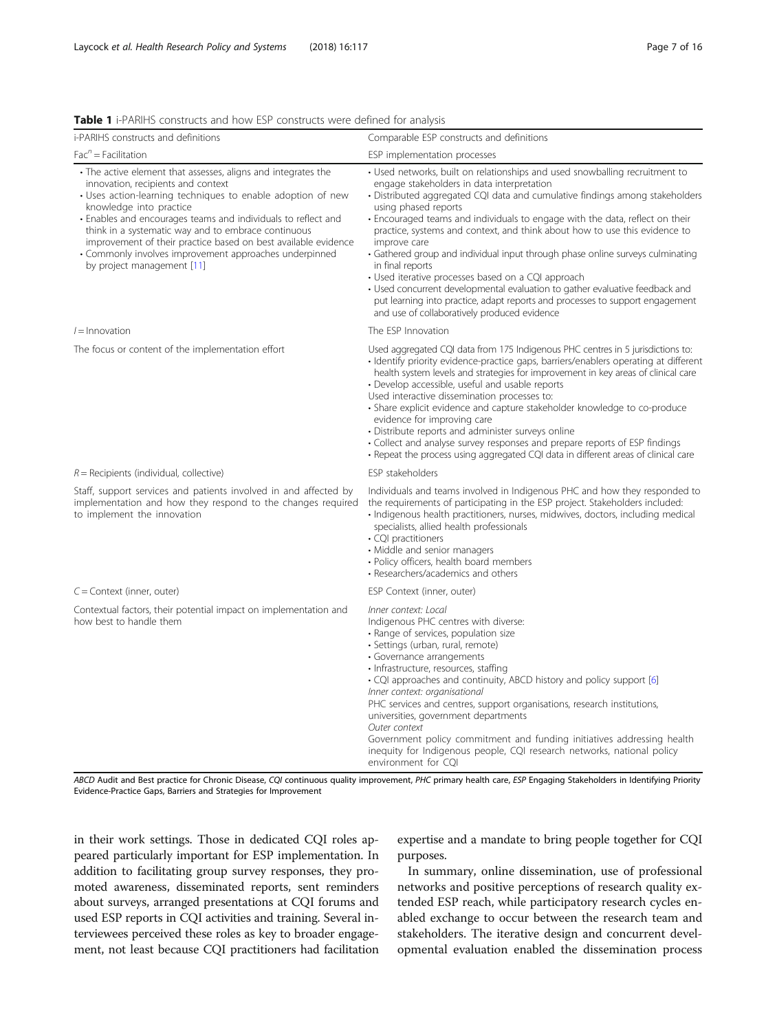## <span id="page-7-0"></span>Table 1 i-PARIHS constructs and how ESP constructs were defined for analysis

| i-PARIHS constructs and definitions                                                                                                                                                                                                                                                                                                                                                                                                                                             | Comparable ESP constructs and definitions                                                                                                                                                                                                                                                                                                                                                                                                                                                                                                                                                                                                                                                                                                                                                    |
|---------------------------------------------------------------------------------------------------------------------------------------------------------------------------------------------------------------------------------------------------------------------------------------------------------------------------------------------------------------------------------------------------------------------------------------------------------------------------------|----------------------------------------------------------------------------------------------------------------------------------------------------------------------------------------------------------------------------------------------------------------------------------------------------------------------------------------------------------------------------------------------------------------------------------------------------------------------------------------------------------------------------------------------------------------------------------------------------------------------------------------------------------------------------------------------------------------------------------------------------------------------------------------------|
| $\mathsf{Fac}^n = \mathsf{Facilitation}$                                                                                                                                                                                                                                                                                                                                                                                                                                        | ESP implementation processes                                                                                                                                                                                                                                                                                                                                                                                                                                                                                                                                                                                                                                                                                                                                                                 |
| • The active element that assesses, aligns and integrates the<br>innovation, recipients and context<br>• Uses action-learning techniques to enable adoption of new<br>knowledge into practice<br>· Enables and encourages teams and individuals to reflect and<br>think in a systematic way and to embrace continuous<br>improvement of their practice based on best available evidence<br>• Commonly involves improvement approaches underpinned<br>by project management [11] | • Used networks, built on relationships and used snowballing recruitment to<br>engage stakeholders in data interpretation<br>• Distributed aggregated CQI data and cumulative findings among stakeholders<br>using phased reports<br>• Encouraged teams and individuals to engage with the data, reflect on their<br>practice, systems and context, and think about how to use this evidence to<br>improve care<br>• Gathered group and individual input through phase online surveys culminating<br>in final reports<br>• Used iterative processes based on a CQI approach<br>• Used concurrent developmental evaluation to gather evaluative feedback and<br>put learning into practice, adapt reports and processes to support engagement<br>and use of collaboratively produced evidence |
| $l =$ Innovation                                                                                                                                                                                                                                                                                                                                                                                                                                                                | The ESP Innovation                                                                                                                                                                                                                                                                                                                                                                                                                                                                                                                                                                                                                                                                                                                                                                           |
| The focus or content of the implementation effort                                                                                                                                                                                                                                                                                                                                                                                                                               | Used aggregated CQI data from 175 Indigenous PHC centres in 5 jurisdictions to:<br>· Identify priority evidence-practice gaps, barriers/enablers operating at different<br>health system levels and strategies for improvement in key areas of clinical care<br>• Develop accessible, useful and usable reports<br>Used interactive dissemination processes to:<br>• Share explicit evidence and capture stakeholder knowledge to co-produce<br>evidence for improving care<br>· Distribute reports and administer surveys online<br>• Collect and analyse survey responses and prepare reports of ESP findings<br>• Repeat the process using aggregated CQI data in different areas of clinical care                                                                                        |
| $R =$ Recipients (individual, collective)                                                                                                                                                                                                                                                                                                                                                                                                                                       | ESP stakeholders                                                                                                                                                                                                                                                                                                                                                                                                                                                                                                                                                                                                                                                                                                                                                                             |
| Staff, support services and patients involved in and affected by<br>implementation and how they respond to the changes required<br>to implement the innovation                                                                                                                                                                                                                                                                                                                  | Individuals and teams involved in Indigenous PHC and how they responded to<br>the requirements of participating in the ESP project. Stakeholders included:<br>· Indigenous health practitioners, nurses, midwives, doctors, including medical<br>specialists, allied health professionals<br>· CQI practitioners<br>• Middle and senior managers<br>• Policy officers, health board members<br>• Researchers/academics and others                                                                                                                                                                                                                                                                                                                                                            |
| $C =$ Context (inner, outer)                                                                                                                                                                                                                                                                                                                                                                                                                                                    | ESP Context (inner, outer)                                                                                                                                                                                                                                                                                                                                                                                                                                                                                                                                                                                                                                                                                                                                                                   |
| Contextual factors, their potential impact on implementation and<br>how best to handle them                                                                                                                                                                                                                                                                                                                                                                                     | Inner context: Local<br>Indigenous PHC centres with diverse:<br>· Range of services, population size<br>· Settings (urban, rural, remote)<br>· Governance arrangements<br>· Infrastructure, resources, staffing<br>• CQI approaches and continuity, ABCD history and policy support [6]<br>Inner context: organisational<br>PHC services and centres, support organisations, research institutions,<br>universities, government departments<br>Outer context<br>Government policy commitment and funding initiatives addressing health<br>inequity for Indigenous people, CQI research networks, national policy<br>environment for COI                                                                                                                                                      |

ABCD Audit and Best practice for Chronic Disease, CQI continuous quality improvement, PHC primary health care, ESP Engaging Stakeholders in Identifying Priority Evidence-Practice Gaps, Barriers and Strategies for Improvement

in their work settings. Those in dedicated CQI roles appeared particularly important for ESP implementation. In addition to facilitating group survey responses, they promoted awareness, disseminated reports, sent reminders about surveys, arranged presentations at CQI forums and used ESP reports in CQI activities and training. Several interviewees perceived these roles as key to broader engagement, not least because CQI practitioners had facilitation

expertise and a mandate to bring people together for CQI purposes.

In summary, online dissemination, use of professional networks and positive perceptions of research quality extended ESP reach, while participatory research cycles enabled exchange to occur between the research team and stakeholders. The iterative design and concurrent developmental evaluation enabled the dissemination process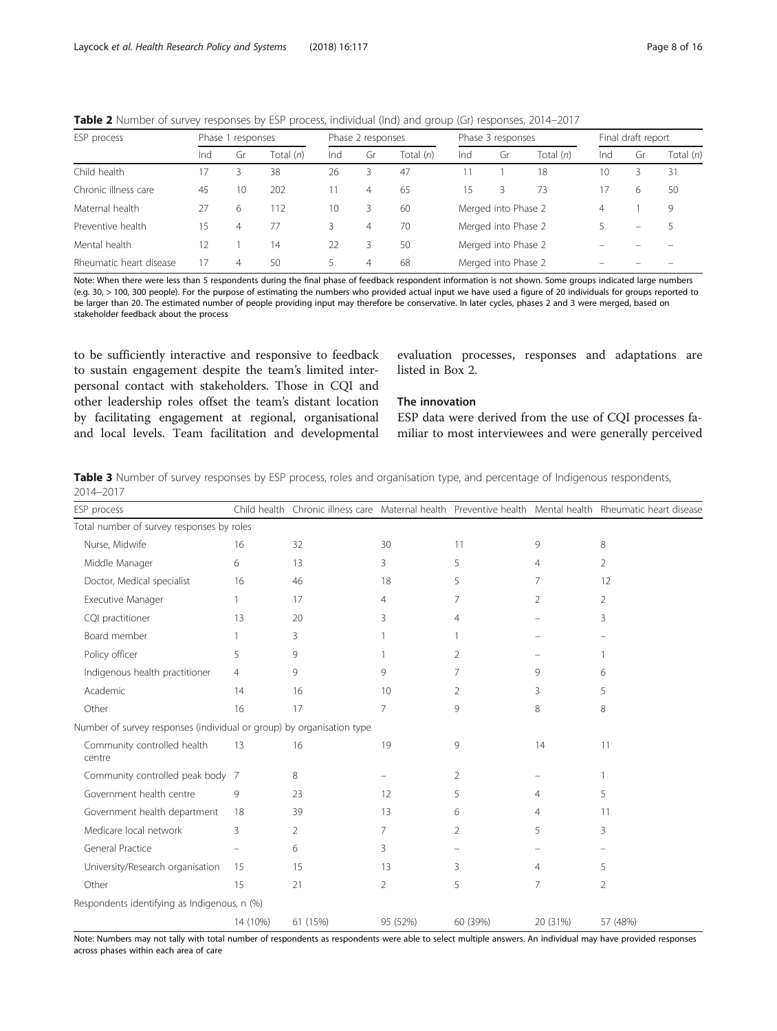<span id="page-8-0"></span>Table 2 Number of survey responses by ESP process, individual (Ind) and group (Gr) responses, 2014–2017

| ESP process             | Phase 1 responses |    |             | Phase 2 responses |    |           | Phase 3 responses   |    |             | Final draft report |    |           |
|-------------------------|-------------------|----|-------------|-------------------|----|-----------|---------------------|----|-------------|--------------------|----|-----------|
|                         | Ind               | Gr | Total $(n)$ | Ind               | Gr | Total (n) | Ind                 | Gr | Total $(n)$ | Ind                | Gr | Total (n) |
| Child health            |                   |    | 38          | 26                |    | 47        |                     |    | 18          | 10                 |    | 31        |
| Chronic illness care    | 45                | 10 | 202         |                   | 4  | 65        | 15                  |    | 73          | 17                 | h  | 50        |
| Maternal health         | 27                | 6  | 112         | $10 \,$           |    | 60        | Merged into Phase 2 |    | 4           |                    | 9  |           |
| Preventive health       | 15                | 4  | 77          | 3                 | 4  | 70        | Merged into Phase 2 |    |             |                    |    |           |
| Mental health           |                   |    | 14          | 22                |    | 50        | Merged into Phase 2 |    |             |                    |    |           |
| Rheumatic heart disease |                   | 4  | 50          | 5.                | 4  | 68        | Merged into Phase 2 |    |             |                    |    |           |

Note: When there were less than 5 respondents during the final phase of feedback respondent information is not shown. Some groups indicated large numbers (e.g. 30, > 100, 300 people). For the purpose of estimating the numbers who provided actual input we have used a figure of 20 individuals for groups reported to be larger than 20. The estimated number of people providing input may therefore be conservative. In later cycles, phases 2 and 3 were merged, based on stakeholder feedback about the process

to be sufficiently interactive and responsive to feedback to sustain engagement despite the team's limited interpersonal contact with stakeholders. Those in CQI and other leadership roles offset the team's distant location by facilitating engagement at regional, organisational and local levels. Team facilitation and developmental evaluation processes, responses and adaptations are listed in Box 2.

#### The innovation

ESP data were derived from the use of CQI processes familiar to most interviewees and were generally perceived

Table 3 Number of survey responses by ESP process, roles and organisation type, and percentage of Indigenous respondents, 2014–2017

| ESP process                                                           |                |          |          |                |                | Child health Chronic illness care Maternal health Preventive health Mental health Rheumatic heart disease |
|-----------------------------------------------------------------------|----------------|----------|----------|----------------|----------------|-----------------------------------------------------------------------------------------------------------|
| Total number of survey responses by roles                             |                |          |          |                |                |                                                                                                           |
| Nurse, Midwife                                                        | 16             | 32       | 30       | 11             | 9              | 8                                                                                                         |
| Middle Manager                                                        | 6              | 13       | 3        | 5              | $\overline{4}$ | 2                                                                                                         |
| Doctor, Medical specialist                                            | 16             | 46       | 18       | 5              | 7              | 12                                                                                                        |
| Executive Manager                                                     |                | 17       | 4        | 7              | $\overline{2}$ | 2                                                                                                         |
| CQI practitioner                                                      | 13             | 20       | 3        | $\overline{4}$ |                | 3                                                                                                         |
| Board member                                                          |                | 3        |          |                |                |                                                                                                           |
| Policy officer                                                        | 5              | 9        |          | 2              |                |                                                                                                           |
| Indigenous health practitioner                                        | $\overline{4}$ | 9        | 9        | 7              | 9              | 6                                                                                                         |
| Academic                                                              | 14             | 16       | 10       | 2              | 3              | 5                                                                                                         |
| Other                                                                 | 16             | 17       | 7        | 9              | 8              | 8                                                                                                         |
| Number of survey responses (individual or group) by organisation type |                |          |          |                |                |                                                                                                           |
| Community controlled health<br>centre                                 | 13             | 16       | 19       | 9              | 14             | 11                                                                                                        |
| Community controlled peak body 7                                      |                | 8        |          | 2              |                |                                                                                                           |
| Government health centre                                              | 9              | 23       | 12       | 5              | 4              | 5                                                                                                         |
| Government health department                                          | 18             | 39       | 13       | 6              | $\overline{4}$ | 11                                                                                                        |
| Medicare local network                                                | 3              | 2        | 7        | 2              | 5              | 3                                                                                                         |
| General Practice                                                      |                | 6        | 3        |                |                |                                                                                                           |
| University/Research organisation                                      | 15             | 15       | 13       | 3              | 4              | 5                                                                                                         |
| Other                                                                 | 15             | 21       | 2        | 5              | 7              | 2                                                                                                         |
| Respondents identifying as Indigenous, n (%)                          |                |          |          |                |                |                                                                                                           |
|                                                                       | 14 (10%)       | 61 (15%) | 95 (52%) | 60 (39%)       | 20 (31%)       | 57 (48%)                                                                                                  |

Note: Numbers may not tally with total number of respondents as respondents were able to select multiple answers. An individual may have provided responses across phases within each area of care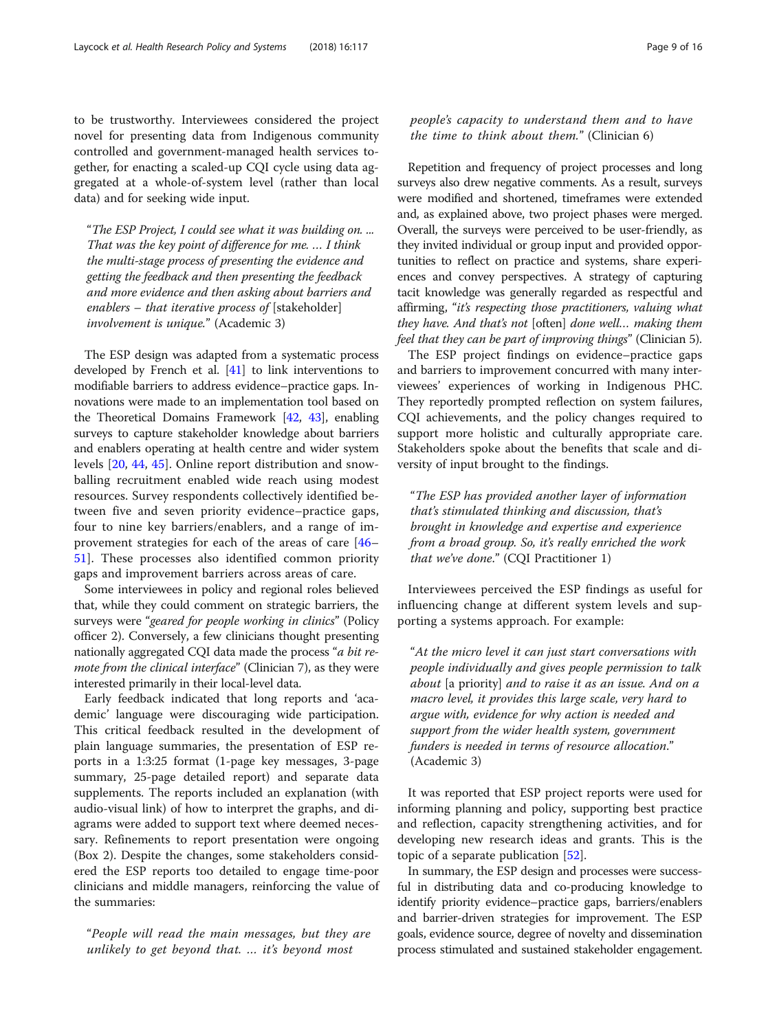to be trustworthy. Interviewees considered the project novel for presenting data from Indigenous community controlled and government-managed health services together, for enacting a scaled-up CQI cycle using data aggregated at a whole-of-system level (rather than local data) and for seeking wide input.

"The ESP Project, I could see what it was building on. ... That was the key point of difference for me. … I think the multi-stage process of presenting the evidence and getting the feedback and then presenting the feedback and more evidence and then asking about barriers and enablers – that iterative process of [stakeholder] involvement is unique." (Academic 3)

The ESP design was adapted from a systematic process developed by French et al. [[41](#page-15-0)] to link interventions to modifiable barriers to address evidence–practice gaps. Innovations were made to an implementation tool based on the Theoretical Domains Framework [[42](#page-15-0), [43](#page-15-0)], enabling surveys to capture stakeholder knowledge about barriers and enablers operating at health centre and wider system levels [[20,](#page-15-0) [44](#page-15-0), [45](#page-15-0)]. Online report distribution and snowballing recruitment enabled wide reach using modest resources. Survey respondents collectively identified between five and seven priority evidence–practice gaps, four to nine key barriers/enablers, and a range of improvement strategies for each of the areas of care [[46](#page-15-0)– [51\]](#page-15-0). These processes also identified common priority gaps and improvement barriers across areas of care.

Some interviewees in policy and regional roles believed that, while they could comment on strategic barriers, the surveys were "geared for people working in clinics" (Policy officer 2). Conversely, a few clinicians thought presenting nationally aggregated CQI data made the process "a bit remote from the clinical interface" (Clinician 7), as they were interested primarily in their local-level data.

Early feedback indicated that long reports and 'academic' language were discouraging wide participation. This critical feedback resulted in the development of plain language summaries, the presentation of ESP reports in a 1:3:25 format (1-page key messages, 3-page summary, 25-page detailed report) and separate data supplements. The reports included an explanation (with audio-visual link) of how to interpret the graphs, and diagrams were added to support text where deemed necessary. Refinements to report presentation were ongoing (Box 2). Despite the changes, some stakeholders considered the ESP reports too detailed to engage time-poor clinicians and middle managers, reinforcing the value of the summaries:

"People will read the main messages, but they are unlikely to get beyond that. … it's beyond most

people's capacity to understand them and to have the time to think about them." (Clinician 6)

Repetition and frequency of project processes and long surveys also drew negative comments. As a result, surveys were modified and shortened, timeframes were extended and, as explained above, two project phases were merged. Overall, the surveys were perceived to be user-friendly, as they invited individual or group input and provided opportunities to reflect on practice and systems, share experiences and convey perspectives. A strategy of capturing tacit knowledge was generally regarded as respectful and affirming, "it's respecting those practitioners, valuing what they have. And that's not [often] done well… making them feel that they can be part of improving things" (Clinician 5).

The ESP project findings on evidence–practice gaps and barriers to improvement concurred with many interviewees' experiences of working in Indigenous PHC. They reportedly prompted reflection on system failures, CQI achievements, and the policy changes required to support more holistic and culturally appropriate care. Stakeholders spoke about the benefits that scale and diversity of input brought to the findings.

"The ESP has provided another layer of information that's stimulated thinking and discussion, that's brought in knowledge and expertise and experience from a broad group. So, it's really enriched the work that we've done." (CQI Practitioner 1)

Interviewees perceived the ESP findings as useful for influencing change at different system levels and supporting a systems approach. For example:

"At the micro level it can just start conversations with people individually and gives people permission to talk about [a priority] and to raise it as an issue. And on a macro level, it provides this large scale, very hard to argue with, evidence for why action is needed and support from the wider health system, government funders is needed in terms of resource allocation." (Academic 3)

It was reported that ESP project reports were used for informing planning and policy, supporting best practice and reflection, capacity strengthening activities, and for developing new research ideas and grants. This is the topic of a separate publication  $[52]$  $[52]$ .

In summary, the ESP design and processes were successful in distributing data and co-producing knowledge to identify priority evidence–practice gaps, barriers/enablers and barrier-driven strategies for improvement. The ESP goals, evidence source, degree of novelty and dissemination process stimulated and sustained stakeholder engagement.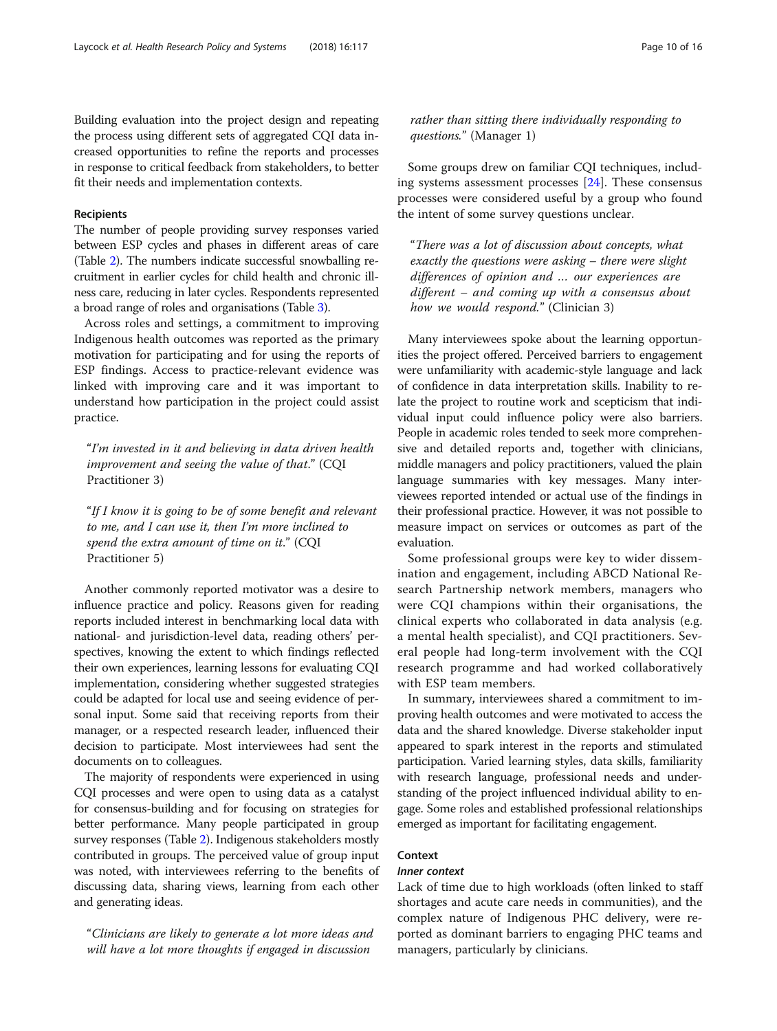Building evaluation into the project design and repeating the process using different sets of aggregated CQI data increased opportunities to refine the reports and processes in response to critical feedback from stakeholders, to better fit their needs and implementation contexts.

### **Recipients**

The number of people providing survey responses varied between ESP cycles and phases in different areas of care (Table [2\)](#page-8-0). The numbers indicate successful snowballing recruitment in earlier cycles for child health and chronic illness care, reducing in later cycles. Respondents represented a broad range of roles and organisations (Table [3](#page-8-0)).

Across roles and settings, a commitment to improving Indigenous health outcomes was reported as the primary motivation for participating and for using the reports of ESP findings. Access to practice-relevant evidence was linked with improving care and it was important to understand how participation in the project could assist practice.

"I'm invested in it and believing in data driven health improvement and seeing the value of that." (CQI Practitioner 3)

"If I know it is going to be of some benefit and relevant to me, and I can use it, then I'm more inclined to spend the extra amount of time on it." (CQI Practitioner 5)

Another commonly reported motivator was a desire to influence practice and policy. Reasons given for reading reports included interest in benchmarking local data with national- and jurisdiction-level data, reading others' perspectives, knowing the extent to which findings reflected their own experiences, learning lessons for evaluating CQI implementation, considering whether suggested strategies could be adapted for local use and seeing evidence of personal input. Some said that receiving reports from their manager, or a respected research leader, influenced their decision to participate. Most interviewees had sent the documents on to colleagues.

The majority of respondents were experienced in using CQI processes and were open to using data as a catalyst for consensus-building and for focusing on strategies for better performance. Many people participated in group survey responses (Table [2\)](#page-8-0). Indigenous stakeholders mostly contributed in groups. The perceived value of group input was noted, with interviewees referring to the benefits of discussing data, sharing views, learning from each other and generating ideas.

"Clinicians are likely to generate a lot more ideas and will have a lot more thoughts if engaged in discussion

rather than sitting there individually responding to questions." (Manager 1)

Some groups drew on familiar CQI techniques, including systems assessment processes [\[24](#page-15-0)]. These consensus processes were considered useful by a group who found the intent of some survey questions unclear.

"There was a lot of discussion about concepts, what exactly the questions were asking – there were slight differences of opinion and … our experiences are different – and coming up with a consensus about how we would respond." (Clinician 3)

Many interviewees spoke about the learning opportunities the project offered. Perceived barriers to engagement were unfamiliarity with academic-style language and lack of confidence in data interpretation skills. Inability to relate the project to routine work and scepticism that individual input could influence policy were also barriers. People in academic roles tended to seek more comprehensive and detailed reports and, together with clinicians, middle managers and policy practitioners, valued the plain language summaries with key messages. Many interviewees reported intended or actual use of the findings in their professional practice. However, it was not possible to measure impact on services or outcomes as part of the evaluation.

Some professional groups were key to wider dissemination and engagement, including ABCD National Research Partnership network members, managers who were CQI champions within their organisations, the clinical experts who collaborated in data analysis (e.g. a mental health specialist), and CQI practitioners. Several people had long-term involvement with the CQI research programme and had worked collaboratively with ESP team members.

In summary, interviewees shared a commitment to improving health outcomes and were motivated to access the data and the shared knowledge. Diverse stakeholder input appeared to spark interest in the reports and stimulated participation. Varied learning styles, data skills, familiarity with research language, professional needs and understanding of the project influenced individual ability to engage. Some roles and established professional relationships emerged as important for facilitating engagement.

## Context

## Inner context

Lack of time due to high workloads (often linked to staff shortages and acute care needs in communities), and the complex nature of Indigenous PHC delivery, were reported as dominant barriers to engaging PHC teams and managers, particularly by clinicians.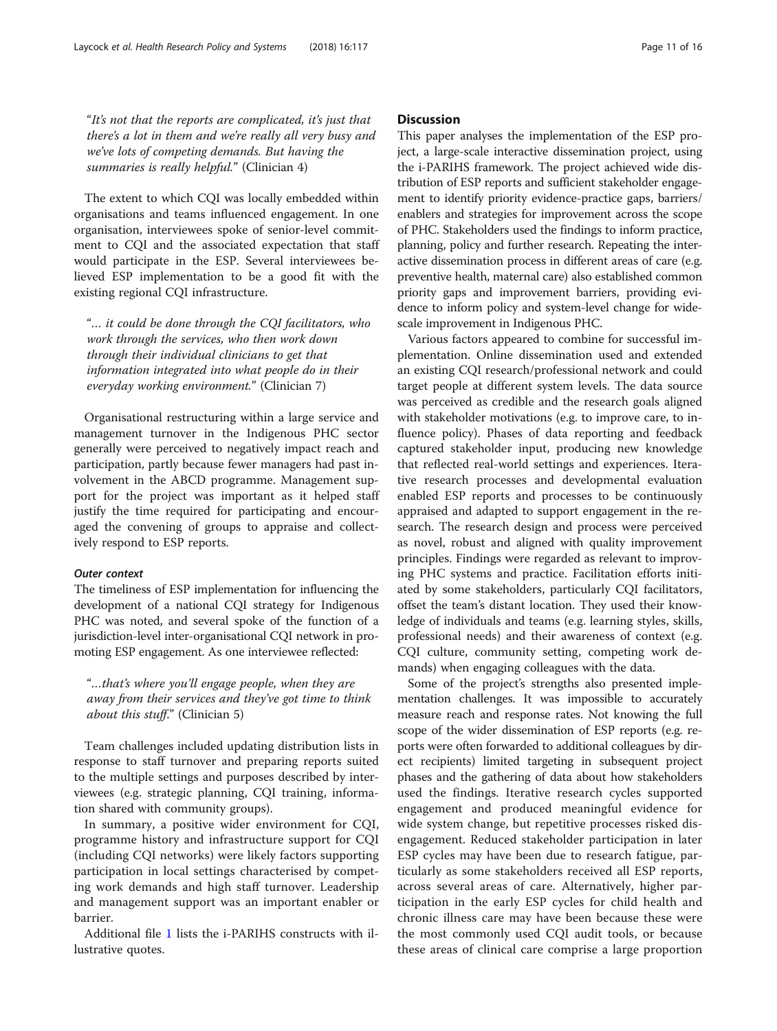"It's not that the reports are complicated, it's just that there's a lot in them and we're really all very busy and we've lots of competing demands. But having the summaries is really helpful." (Clinician 4)

The extent to which CQI was locally embedded within organisations and teams influenced engagement. In one organisation, interviewees spoke of senior-level commitment to CQI and the associated expectation that staff would participate in the ESP. Several interviewees believed ESP implementation to be a good fit with the existing regional CQI infrastructure.

"… it could be done through the CQI facilitators, who work through the services, who then work down through their individual clinicians to get that information integrated into what people do in their everyday working environment." (Clinician 7)

Organisational restructuring within a large service and management turnover in the Indigenous PHC sector generally were perceived to negatively impact reach and participation, partly because fewer managers had past involvement in the ABCD programme. Management support for the project was important as it helped staff justify the time required for participating and encouraged the convening of groups to appraise and collectively respond to ESP reports.

#### Outer context

The timeliness of ESP implementation for influencing the development of a national CQI strategy for Indigenous PHC was noted, and several spoke of the function of a jurisdiction-level inter-organisational CQI network in promoting ESP engagement. As one interviewee reflected:

"…that's where you'll engage people, when they are away from their services and they've got time to think about this stuff." (Clinician 5)

Team challenges included updating distribution lists in response to staff turnover and preparing reports suited to the multiple settings and purposes described by interviewees (e.g. strategic planning, CQI training, information shared with community groups).

In summary, a positive wider environment for CQI, programme history and infrastructure support for CQI (including CQI networks) were likely factors supporting participation in local settings characterised by competing work demands and high staff turnover. Leadership and management support was an important enabler or barrier.

Additional file [1](#page-14-0) lists the i-PARIHS constructs with illustrative quotes.

## **Discussion**

This paper analyses the implementation of the ESP project, a large-scale interactive dissemination project, using the i-PARIHS framework. The project achieved wide distribution of ESP reports and sufficient stakeholder engagement to identify priority evidence-practice gaps, barriers/ enablers and strategies for improvement across the scope of PHC. Stakeholders used the findings to inform practice, planning, policy and further research. Repeating the interactive dissemination process in different areas of care (e.g. preventive health, maternal care) also established common priority gaps and improvement barriers, providing evidence to inform policy and system-level change for widescale improvement in Indigenous PHC.

Various factors appeared to combine for successful implementation. Online dissemination used and extended an existing CQI research/professional network and could target people at different system levels. The data source was perceived as credible and the research goals aligned with stakeholder motivations (e.g. to improve care, to influence policy). Phases of data reporting and feedback captured stakeholder input, producing new knowledge that reflected real-world settings and experiences. Iterative research processes and developmental evaluation enabled ESP reports and processes to be continuously appraised and adapted to support engagement in the research. The research design and process were perceived as novel, robust and aligned with quality improvement principles. Findings were regarded as relevant to improving PHC systems and practice. Facilitation efforts initiated by some stakeholders, particularly CQI facilitators, offset the team's distant location. They used their knowledge of individuals and teams (e.g. learning styles, skills, professional needs) and their awareness of context (e.g. CQI culture, community setting, competing work demands) when engaging colleagues with the data.

Some of the project's strengths also presented implementation challenges. It was impossible to accurately measure reach and response rates. Not knowing the full scope of the wider dissemination of ESP reports (e.g. reports were often forwarded to additional colleagues by direct recipients) limited targeting in subsequent project phases and the gathering of data about how stakeholders used the findings. Iterative research cycles supported engagement and produced meaningful evidence for wide system change, but repetitive processes risked disengagement. Reduced stakeholder participation in later ESP cycles may have been due to research fatigue, particularly as some stakeholders received all ESP reports, across several areas of care. Alternatively, higher participation in the early ESP cycles for child health and chronic illness care may have been because these were the most commonly used CQI audit tools, or because these areas of clinical care comprise a large proportion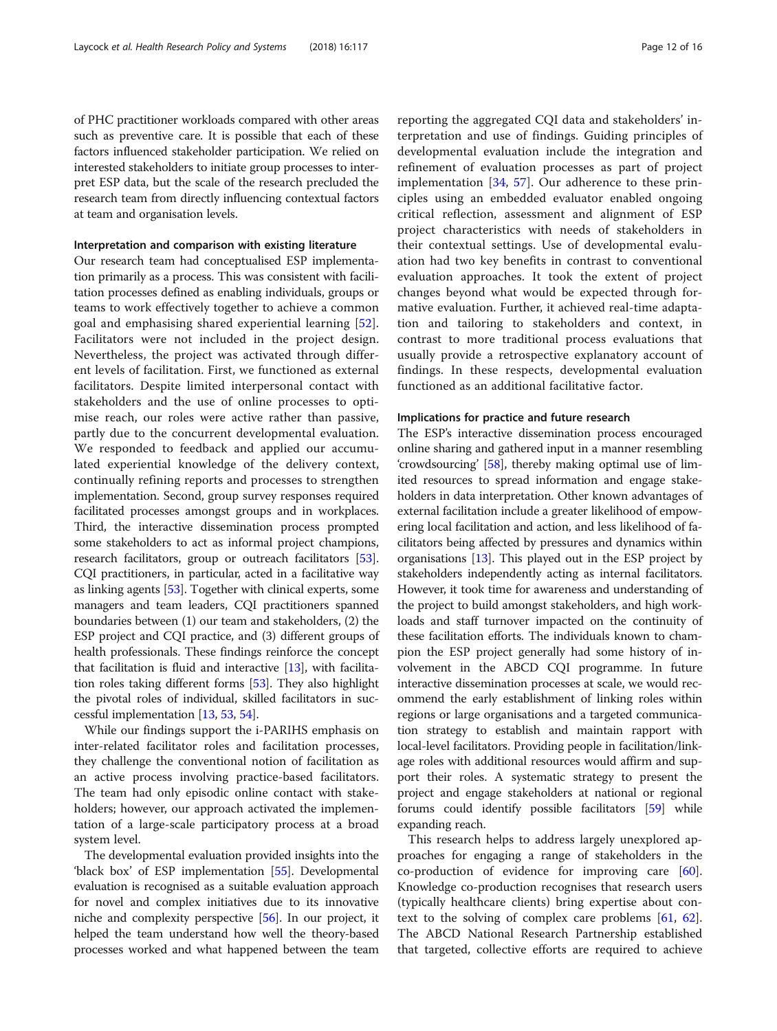of PHC practitioner workloads compared with other areas such as preventive care. It is possible that each of these factors influenced stakeholder participation. We relied on interested stakeholders to initiate group processes to interpret ESP data, but the scale of the research precluded the research team from directly influencing contextual factors at team and organisation levels.

#### Interpretation and comparison with existing literature

Our research team had conceptualised ESP implementation primarily as a process. This was consistent with facilitation processes defined as enabling individuals, groups or teams to work effectively together to achieve a common goal and emphasising shared experiential learning [\[52](#page-15-0)]. Facilitators were not included in the project design. Nevertheless, the project was activated through different levels of facilitation. First, we functioned as external facilitators. Despite limited interpersonal contact with stakeholders and the use of online processes to optimise reach, our roles were active rather than passive, partly due to the concurrent developmental evaluation. We responded to feedback and applied our accumulated experiential knowledge of the delivery context, continually refining reports and processes to strengthen implementation. Second, group survey responses required facilitated processes amongst groups and in workplaces. Third, the interactive dissemination process prompted some stakeholders to act as informal project champions, research facilitators, group or outreach facilitators [[53](#page-15-0)]. CQI practitioners, in particular, acted in a facilitative way as linking agents [\[53](#page-15-0)]. Together with clinical experts, some managers and team leaders, CQI practitioners spanned boundaries between (1) our team and stakeholders, (2) the ESP project and CQI practice, and (3) different groups of health professionals. These findings reinforce the concept that facilitation is fluid and interactive [[13\]](#page-14-0), with facilitation roles taking different forms [\[53\]](#page-15-0). They also highlight the pivotal roles of individual, skilled facilitators in successful implementation [\[13,](#page-14-0) [53,](#page-15-0) [54](#page-15-0)].

While our findings support the i-PARIHS emphasis on inter-related facilitator roles and facilitation processes, they challenge the conventional notion of facilitation as an active process involving practice-based facilitators. The team had only episodic online contact with stakeholders; however, our approach activated the implementation of a large-scale participatory process at a broad system level.

The developmental evaluation provided insights into the 'black box' of ESP implementation [[55](#page-15-0)]. Developmental evaluation is recognised as a suitable evaluation approach for novel and complex initiatives due to its innovative niche and complexity perspective [\[56\]](#page-15-0). In our project, it helped the team understand how well the theory-based processes worked and what happened between the team reporting the aggregated CQI data and stakeholders' interpretation and use of findings. Guiding principles of developmental evaluation include the integration and refinement of evaluation processes as part of project implementation [[34,](#page-15-0) [57\]](#page-15-0). Our adherence to these principles using an embedded evaluator enabled ongoing critical reflection, assessment and alignment of ESP project characteristics with needs of stakeholders in their contextual settings. Use of developmental evaluation had two key benefits in contrast to conventional evaluation approaches. It took the extent of project changes beyond what would be expected through formative evaluation. Further, it achieved real-time adaptation and tailoring to stakeholders and context, in contrast to more traditional process evaluations that usually provide a retrospective explanatory account of findings. In these respects, developmental evaluation functioned as an additional facilitative factor.

#### Implications for practice and future research

The ESP's interactive dissemination process encouraged online sharing and gathered input in a manner resembling 'crowdsourcing' [[58\]](#page-15-0), thereby making optimal use of limited resources to spread information and engage stakeholders in data interpretation. Other known advantages of external facilitation include a greater likelihood of empowering local facilitation and action, and less likelihood of facilitators being affected by pressures and dynamics within organisations [\[13](#page-14-0)]. This played out in the ESP project by stakeholders independently acting as internal facilitators. However, it took time for awareness and understanding of the project to build amongst stakeholders, and high workloads and staff turnover impacted on the continuity of these facilitation efforts. The individuals known to champion the ESP project generally had some history of involvement in the ABCD CQI programme. In future interactive dissemination processes at scale, we would recommend the early establishment of linking roles within regions or large organisations and a targeted communication strategy to establish and maintain rapport with local-level facilitators. Providing people in facilitation/linkage roles with additional resources would affirm and support their roles. A systematic strategy to present the project and engage stakeholders at national or regional forums could identify possible facilitators [\[59](#page-15-0)] while expanding reach.

This research helps to address largely unexplored approaches for engaging a range of stakeholders in the co-production of evidence for improving care [\[60](#page-16-0)]. Knowledge co-production recognises that research users (typically healthcare clients) bring expertise about context to the solving of complex care problems [[61,](#page-16-0) [62](#page-16-0)]. The ABCD National Research Partnership established that targeted, collective efforts are required to achieve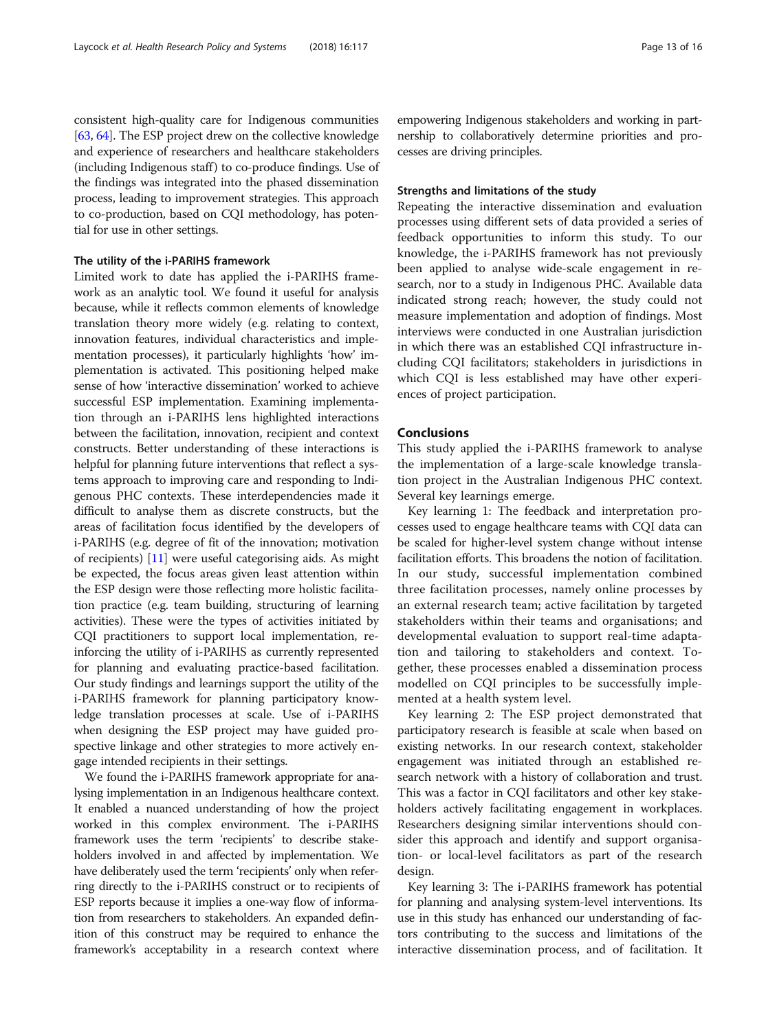consistent high-quality care for Indigenous communities [[63](#page-16-0), [64\]](#page-16-0). The ESP project drew on the collective knowledge and experience of researchers and healthcare stakeholders (including Indigenous staff) to co-produce findings. Use of the findings was integrated into the phased dissemination process, leading to improvement strategies. This approach to co-production, based on CQI methodology, has potential for use in other settings.

## The utility of the i-PARIHS framework

Limited work to date has applied the i-PARIHS framework as an analytic tool. We found it useful for analysis because, while it reflects common elements of knowledge translation theory more widely (e.g. relating to context, innovation features, individual characteristics and implementation processes), it particularly highlights 'how' implementation is activated. This positioning helped make sense of how 'interactive dissemination' worked to achieve successful ESP implementation. Examining implementation through an i-PARIHS lens highlighted interactions between the facilitation, innovation, recipient and context constructs. Better understanding of these interactions is helpful for planning future interventions that reflect a systems approach to improving care and responding to Indigenous PHC contexts. These interdependencies made it difficult to analyse them as discrete constructs, but the areas of facilitation focus identified by the developers of i-PARIHS (e.g. degree of fit of the innovation; motivation of recipients) [\[11\]](#page-14-0) were useful categorising aids. As might be expected, the focus areas given least attention within the ESP design were those reflecting more holistic facilitation practice (e.g. team building, structuring of learning activities). These were the types of activities initiated by CQI practitioners to support local implementation, reinforcing the utility of i-PARIHS as currently represented for planning and evaluating practice-based facilitation. Our study findings and learnings support the utility of the i-PARIHS framework for planning participatory knowledge translation processes at scale. Use of i-PARIHS when designing the ESP project may have guided prospective linkage and other strategies to more actively engage intended recipients in their settings.

We found the i-PARIHS framework appropriate for analysing implementation in an Indigenous healthcare context. It enabled a nuanced understanding of how the project worked in this complex environment. The i-PARIHS framework uses the term 'recipients' to describe stakeholders involved in and affected by implementation. We have deliberately used the term 'recipients' only when referring directly to the i-PARIHS construct or to recipients of ESP reports because it implies a one-way flow of information from researchers to stakeholders. An expanded definition of this construct may be required to enhance the framework's acceptability in a research context where

empowering Indigenous stakeholders and working in partnership to collaboratively determine priorities and processes are driving principles.

## Strengths and limitations of the study

Repeating the interactive dissemination and evaluation processes using different sets of data provided a series of feedback opportunities to inform this study. To our knowledge, the i-PARIHS framework has not previously been applied to analyse wide-scale engagement in research, nor to a study in Indigenous PHC. Available data indicated strong reach; however, the study could not measure implementation and adoption of findings. Most interviews were conducted in one Australian jurisdiction in which there was an established CQI infrastructure including CQI facilitators; stakeholders in jurisdictions in which CQI is less established may have other experiences of project participation.

## Conclusions

This study applied the i-PARIHS framework to analyse the implementation of a large-scale knowledge translation project in the Australian Indigenous PHC context. Several key learnings emerge.

Key learning 1: The feedback and interpretation processes used to engage healthcare teams with CQI data can be scaled for higher-level system change without intense facilitation efforts. This broadens the notion of facilitation. In our study, successful implementation combined three facilitation processes, namely online processes by an external research team; active facilitation by targeted stakeholders within their teams and organisations; and developmental evaluation to support real-time adaptation and tailoring to stakeholders and context. Together, these processes enabled a dissemination process modelled on CQI principles to be successfully implemented at a health system level.

Key learning 2: The ESP project demonstrated that participatory research is feasible at scale when based on existing networks. In our research context, stakeholder engagement was initiated through an established research network with a history of collaboration and trust. This was a factor in CQI facilitators and other key stakeholders actively facilitating engagement in workplaces. Researchers designing similar interventions should consider this approach and identify and support organisation- or local-level facilitators as part of the research design.

Key learning 3: The i-PARIHS framework has potential for planning and analysing system-level interventions. Its use in this study has enhanced our understanding of factors contributing to the success and limitations of the interactive dissemination process, and of facilitation. It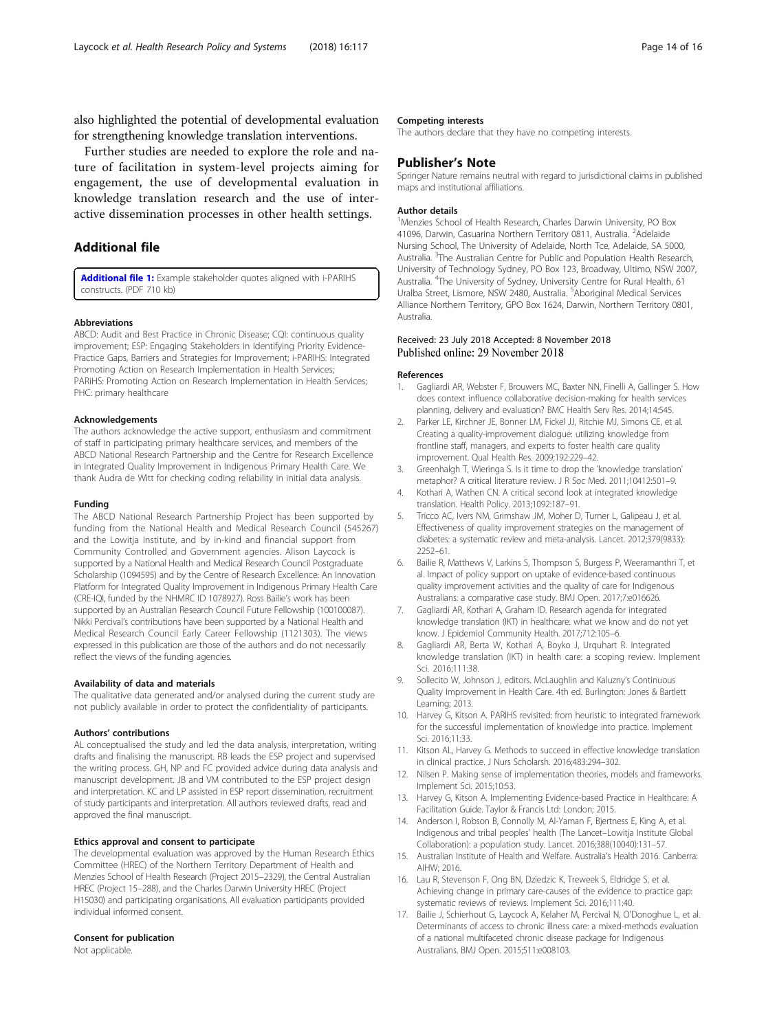<span id="page-14-0"></span>also highlighted the potential of developmental evaluation for strengthening knowledge translation interventions.

Further studies are needed to explore the role and nature of facilitation in system-level projects aiming for engagement, the use of developmental evaluation in knowledge translation research and the use of interactive dissemination processes in other health settings.

## Additional file

[Additional file 1:](https://doi.org/10.1186/s12961-018-0392-z) Example stakeholder quotes aligned with i-PARIHS constructs. (PDF 710 kb)

#### Abbreviations

ABCD: Audit and Best Practice in Chronic Disease; CQI: continuous quality improvement; ESP: Engaging Stakeholders in Identifying Priority Evidence-Practice Gaps, Barriers and Strategies for Improvement; i-PARIHS: Integrated Promoting Action on Research Implementation in Health Services; PARiHS: Promoting Action on Research Implementation in Health Services; PHC: primary healthcare

#### Acknowledgements

The authors acknowledge the active support, enthusiasm and commitment of staff in participating primary healthcare services, and members of the ABCD National Research Partnership and the Centre for Research Excellence in Integrated Quality Improvement in Indigenous Primary Health Care. We thank Audra de Witt for checking coding reliability in initial data analysis.

#### Funding

The ABCD National Research Partnership Project has been supported by funding from the National Health and Medical Research Council (545267) and the Lowitja Institute, and by in-kind and financial support from Community Controlled and Government agencies. Alison Laycock is supported by a National Health and Medical Research Council Postgraduate Scholarship (1094595) and by the Centre of Research Excellence: An Innovation Platform for Integrated Quality Improvement in Indigenous Primary Health Care (CRE-IQI, funded by the NHMRC ID 1078927). Ross Bailie's work has been supported by an Australian Research Council Future Fellowship (100100087). Nikki Percival's contributions have been supported by a National Health and Medical Research Council Early Career Fellowship (1121303). The views expressed in this publication are those of the authors and do not necessarily reflect the views of the funding agencies.

#### Availability of data and materials

The qualitative data generated and/or analysed during the current study are not publicly available in order to protect the confidentiality of participants.

#### Authors' contributions

AL conceptualised the study and led the data analysis, interpretation, writing drafts and finalising the manuscript. RB leads the ESP project and supervised the writing process. GH, NP and FC provided advice during data analysis and manuscript development. JB and VM contributed to the ESP project design and interpretation. KC and LP assisted in ESP report dissemination, recruitment of study participants and interpretation. All authors reviewed drafts, read and approved the final manuscript.

#### Ethics approval and consent to participate

The developmental evaluation was approved by the Human Research Ethics Committee (HREC) of the Northern Territory Department of Health and Menzies School of Health Research (Project 2015–2329), the Central Australian HREC (Project 15–288), and the Charles Darwin University HREC (Project H15030) and participating organisations. All evaluation participants provided individual informed consent.

#### Consent for publication

Not applicable.

#### Competing interests

The authors declare that they have no competing interests.

### Publisher's Note

Springer Nature remains neutral with regard to jurisdictional claims in published maps and institutional affiliations.

#### Author details

<sup>1</sup>Menzies School of Health Research, Charles Darwin University, PO Box 41096, Darwin, Casuarina Northern Territory 0811, Australia. <sup>2</sup>Adelaide Nursing School, The University of Adelaide, North Tce, Adelaide, SA 5000, Australia. <sup>3</sup>The Australian Centre for Public and Population Health Research, University of Technology Sydney, PO Box 123, Broadway, Ultimo, NSW 2007, Australia. <sup>4</sup> The University of Sydney, University Centre for Rural Health, 61 Uralba Street, Lismore, NSW 2480, Australia. <sup>5</sup>Aboriginal Medical Services Alliance Northern Territory, GPO Box 1624, Darwin, Northern Territory 0801, Australia.

### Received: 23 July 2018 Accepted: 8 November 2018 Published online: 29 November 2018

#### References

- 1. Gagliardi AR, Webster F, Brouwers MC, Baxter NN, Finelli A, Gallinger S. How does context influence collaborative decision-making for health services planning, delivery and evaluation? BMC Health Serv Res. 2014;14:545.
- 2. Parker LE, Kirchner JE, Bonner LM, Fickel JJ, Ritchie MJ, Simons CE, et al. Creating a quality-improvement dialogue: utilizing knowledge from frontline staff, managers, and experts to foster health care quality improvement. Qual Health Res. 2009;192:229–42.
- 3. Greenhalgh T, Wieringa S. Is it time to drop the 'knowledge translation' metaphor? A critical literature review. J R Soc Med. 2011;10412:501–9.
- 4. Kothari A, Wathen CN. A critical second look at integrated knowledge translation. Health Policy. 2013;1092:187–91.
- Tricco AC, Ivers NM, Grimshaw JM, Moher D, Turner L, Galipeau J, et al. Effectiveness of quality improvement strategies on the management of diabetes: a systematic review and meta-analysis. Lancet. 2012;379(9833): 2252–61.
- 6. Bailie R, Matthews V, Larkins S, Thompson S, Burgess P, Weeramanthri T, et al. Impact of policy support on uptake of evidence-based continuous quality improvement activities and the quality of care for Indigenous Australians: a comparative case study. BMJ Open. 2017;7:e016626.
- 7. Gagliardi AR, Kothari A, Graham ID. Research agenda for integrated knowledge translation (IKT) in healthcare: what we know and do not yet know. J Epidemiol Community Health. 2017;712:105–6.
- 8. Gagliardi AR, Berta W, Kothari A, Boyko J, Urquhart R. Integrated knowledge translation (IKT) in health care: a scoping review. Implement Sci. 2016;111:38.
- Sollecito W, Johnson J, editors. McLaughlin and Kaluzny's Continuous Quality Improvement in Health Care. 4th ed. Burlington: Jones & Bartlett Learning; 2013.
- 10. Harvey G, Kitson A. PARIHS revisited: from heuristic to integrated framework for the successful implementation of knowledge into practice. Implement Sci. 2016;11:33.
- 11. Kitson AL, Harvey G. Methods to succeed in effective knowledge translation in clinical practice. J Nurs Scholarsh. 2016;483:294–302.
- 12. Nilsen P. Making sense of implementation theories, models and frameworks. Implement Sci. 2015;10:53.
- 13. Harvey G, Kitson A. Implementing Evidence-based Practice in Healthcare: A Facilitation Guide. Taylor & Francis Ltd: London; 2015.
- 14. Anderson I, Robson B, Connolly M, Al-Yaman F, Bjertness E, King A, et al. Indigenous and tribal peoples' health (The Lancet–Lowitja Institute Global Collaboration): a population study. Lancet. 2016;388(10040):131–57.
- 15. Australian Institute of Health and Welfare. Australia's Health 2016. Canberra: AIHW; 2016.
- 16. Lau R, Stevenson F, Ong BN, Dziedzic K, Treweek S, Eldridge S, et al. Achieving change in primary care-causes of the evidence to practice gap: systematic reviews of reviews. Implement Sci. 2016;111:40.
- 17. Bailie J, Schierhout G, Laycock A, Kelaher M, Percival N, O'Donoghue L, et al. Determinants of access to chronic illness care: a mixed-methods evaluation of a national multifaceted chronic disease package for Indigenous Australians. BMJ Open. 2015;511:e008103.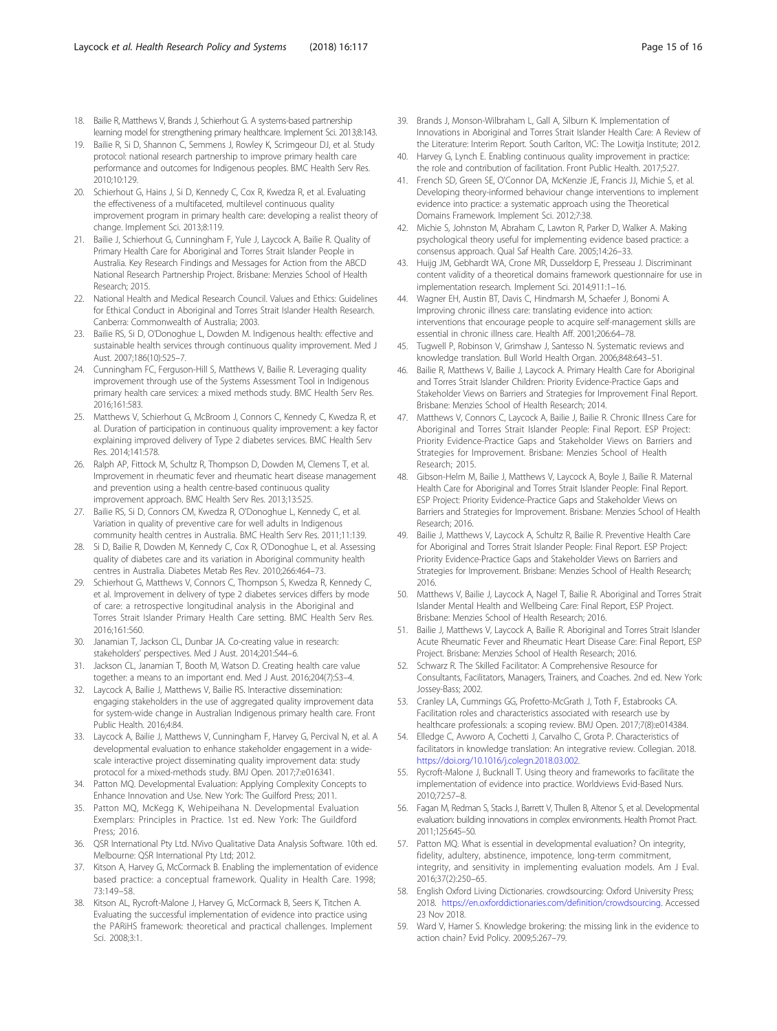- <span id="page-15-0"></span>18. Bailie R, Matthews V, Brands J, Schierhout G. A systems-based partnership learning model for strengthening primary healthcare. Implement Sci. 2013;8:143.
- 19. Bailie R, Si D, Shannon C, Semmens J, Rowley K, Scrimgeour DJ, et al. Study protocol: national research partnership to improve primary health care performance and outcomes for Indigenous peoples. BMC Health Serv Res. 2010;10:129.
- 20. Schierhout G, Hains J, Si D, Kennedy C, Cox R, Kwedza R, et al. Evaluating the effectiveness of a multifaceted, multilevel continuous quality improvement program in primary health care: developing a realist theory of change. Implement Sci. 2013;8:119.
- 21. Bailie J, Schierhout G, Cunningham F, Yule J, Laycock A, Bailie R. Quality of Primary Health Care for Aboriginal and Torres Strait Islander People in Australia. Key Research Findings and Messages for Action from the ABCD National Research Partnership Project. Brisbane: Menzies School of Health Research; 2015.
- 22. National Health and Medical Research Council. Values and Ethics: Guidelines for Ethical Conduct in Aboriginal and Torres Strait Islander Health Research. Canberra: Commonwealth of Australia; 2003.
- 23. Bailie RS, Si D, O'Donoghue L, Dowden M. Indigenous health: effective and sustainable health services through continuous quality improvement. Med J Aust. 2007;186(10):525–7.
- 24. Cunningham FC, Ferguson-Hill S, Matthews V, Bailie R. Leveraging quality improvement through use of the Systems Assessment Tool in Indigenous primary health care services: a mixed methods study. BMC Health Serv Res. 2016;161:583.
- 25. Matthews V, Schierhout G, McBroom J, Connors C, Kennedy C, Kwedza R, et al. Duration of participation in continuous quality improvement: a key factor explaining improved delivery of Type 2 diabetes services. BMC Health Serv Res. 2014;141:578.
- 26. Ralph AP, Fittock M, Schultz R, Thompson D, Dowden M, Clemens T, et al. Improvement in rheumatic fever and rheumatic heart disease management and prevention using a health centre-based continuous quality improvement approach. BMC Health Serv Res. 2013;13:525.
- 27. Bailie RS, Si D, Connors CM, Kwedza R, O'Donoghue L, Kennedy C, et al. Variation in quality of preventive care for well adults in Indigenous community health centres in Australia. BMC Health Serv Res. 2011;11:139.
- 28. Si D, Bailie R, Dowden M, Kennedy C, Cox R, O'Donoghue L, et al. Assessing quality of diabetes care and its variation in Aboriginal community health centres in Australia. Diabetes Metab Res Rev. 2010;266:464–73.
- 29. Schierhout G, Matthews V, Connors C, Thompson S, Kwedza R, Kennedy C, et al. Improvement in delivery of type 2 diabetes services differs by mode of care: a retrospective longitudinal analysis in the Aboriginal and Torres Strait Islander Primary Health Care setting. BMC Health Serv Res. 2016;161:560.
- 30. Janamian T, Jackson CL, Dunbar JA. Co-creating value in research: stakeholders' perspectives. Med J Aust. 2014;201:S44–6.
- 31. Jackson CL, Janamian T, Booth M, Watson D. Creating health care value together: a means to an important end. Med J Aust. 2016;204(7):S3–4.
- 32. Laycock A, Bailie J, Matthews V, Bailie RS. Interactive dissemination: engaging stakeholders in the use of aggregated quality improvement data for system-wide change in Australian Indigenous primary health care. Front Public Health. 2016;4:84.
- 33. Laycock A, Bailie J, Matthews V, Cunningham F, Harvey G, Percival N, et al. A developmental evaluation to enhance stakeholder engagement in a widescale interactive project disseminating quality improvement data: study protocol for a mixed-methods study. BMJ Open. 2017;7:e016341.
- 34. Patton MQ. Developmental Evaluation: Applying Complexity Concepts to Enhance Innovation and Use. New York: The Guilford Press; 2011.
- 35. Patton MQ, McKegg K, Wehipeihana N. Developmental Evaluation Exemplars: Principles in Practice. 1st ed. New York: The Guildford Press; 2016.
- 36. QSR International Pty Ltd. NVivo Qualitative Data Analysis Software. 10th ed. Melbourne: QSR International Pty Ltd; 2012.
- 37. Kitson A, Harvey G, McCormack B. Enabling the implementation of evidence based practice: a conceptual framework. Quality in Health Care. 1998; 73:149–58.
- 38. Kitson AL, Rycroft-Malone J, Harvey G, McCormack B, Seers K, Titchen A. Evaluating the successful implementation of evidence into practice using the PARiHS framework: theoretical and practical challenges. Implement Sci. 2008;3:1.
- 39. Brands J, Monson-Wilbraham L, Gall A, Silburn K. Implementation of Innovations in Aboriginal and Torres Strait Islander Health Care: A Review of the Literature: Interim Report. South Carlton, VIC: The Lowitja Institute; 2012.
- 40. Harvey G, Lynch E. Enabling continuous quality improvement in practice: the role and contribution of facilitation. Front Public Health. 2017;5:27.
- 41. French SD, Green SE, O'Connor DA, McKenzie JE, Francis JJ, Michie S, et al. Developing theory-informed behaviour change interventions to implement evidence into practice: a systematic approach using the Theoretical Domains Framework. Implement Sci. 2012;7:38.
- 42. Michie S, Johnston M, Abraham C, Lawton R, Parker D, Walker A. Making psychological theory useful for implementing evidence based practice: a consensus approach. Qual Saf Health Care. 2005;14:26–33.
- 43. Huijg JM, Gebhardt WA, Crone MR, Dusseldorp E, Presseau J. Discriminant content validity of a theoretical domains framework questionnaire for use in implementation research. Implement Sci. 2014;911:1–16.
- 44. Wagner EH, Austin BT, Davis C, Hindmarsh M, Schaefer J, Bonomi A. Improving chronic illness care: translating evidence into action: interventions that encourage people to acquire self-management skills are essential in chronic illness care. Health Aff. 2001;206:64–78.
- 45. Tugwell P, Robinson V, Grimshaw J, Santesso N. Systematic reviews and knowledge translation. Bull World Health Organ. 2006;848:643–51.
- 46. Bailie R, Matthews V, Bailie J, Laycock A. Primary Health Care for Aboriginal and Torres Strait Islander Children: Priority Evidence-Practice Gaps and Stakeholder Views on Barriers and Strategies for Improvement Final Report. Brisbane: Menzies School of Health Research; 2014.
- 47. Matthews V, Connors C, Laycock A, Bailie J, Bailie R. Chronic Illness Care for Aboriginal and Torres Strait Islander People: Final Report. ESP Project: Priority Evidence-Practice Gaps and Stakeholder Views on Barriers and Strategies for Improvement. Brisbane: Menzies School of Health Research; 2015.
- 48. Gibson-Helm M, Bailie J, Matthews V, Laycock A, Boyle J, Bailie R. Maternal Health Care for Aboriginal and Torres Strait Islander People: Final Report. ESP Project: Priority Evidence-Practice Gaps and Stakeholder Views on Barriers and Strategies for Improvement. Brisbane: Menzies School of Health Research; 2016.
- 49. Bailie J, Matthews V, Laycock A, Schultz R, Bailie R. Preventive Health Care for Aboriginal and Torres Strait Islander People: Final Report. ESP Project: Priority Evidence-Practice Gaps and Stakeholder Views on Barriers and Strategies for Improvement. Brisbane: Menzies School of Health Research; 2016.
- 50. Matthews V, Bailie J, Laycock A, Nagel T, Bailie R. Aboriginal and Torres Strait Islander Mental Health and Wellbeing Care: Final Report, ESP Project. Brisbane: Menzies School of Health Research; 2016.
- 51. Bailie J, Matthews V, Laycock A, Bailie R. Aboriginal and Torres Strait Islander Acute Rheumatic Fever and Rheumatic Heart Disease Care: Final Report, ESP Project. Brisbane: Menzies School of Health Research; 2016.
- 52. Schwarz R. The Skilled Facilitator: A Comprehensive Resource for Consultants, Facilitators, Managers, Trainers, and Coaches. 2nd ed. New York: Jossey-Bass; 2002.
- 53. Cranley LA, Cummings GG, Profetto-McGrath J, Toth F, Estabrooks CA. Facilitation roles and characteristics associated with research use by healthcare professionals: a scoping review. BMJ Open. 2017;7(8):e014384.
- 54. Elledge C, Avworo A, Cochetti J, Carvalho C, Grota P. Characteristics of facilitators in knowledge translation: An integrative review. Collegian. 2018. <https://doi.org/10.1016/j.colegn.2018.03.002>.
- 55. Rycroft-Malone J, Bucknall T. Using theory and frameworks to facilitate the implementation of evidence into practice. Worldviews Evid-Based Nurs. 2010;72:57–8.
- 56. Fagan M, Redman S, Stacks J, Barrett V, Thullen B, Altenor S, et al. Developmental evaluation: building innovations in complex environments. Health Promot Pract. 2011;125:645–50.
- 57. Patton MQ. What is essential in developmental evaluation? On integrity, fidelity, adultery, abstinence, impotence, long-term commitment, integrity, and sensitivity in implementing evaluation models. Am J Eval. 2016;37(2):250–65.
- 58. English Oxford Living Dictionaries. crowdsourcing: Oxford University Press; 2018. [https://en.oxforddictionaries.com/definition/crowdsourcing.](https://en.oxforddictionaries.com/definition/crowdsourcing) Accessed 23 Nov 2018.
- 59. Ward V, Hamer S. Knowledge brokering: the missing link in the evidence to action chain? Evid Policy. 2009;5:267–79.